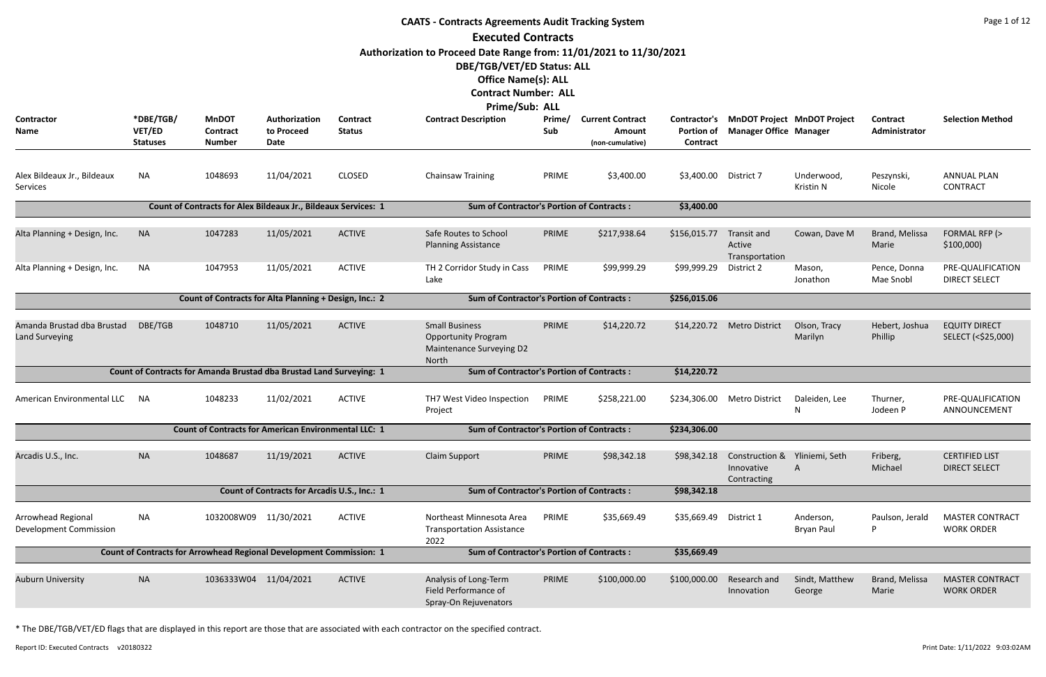|                                              |                                                                     |                                                                     |                                              |                                  | <b>CAATS - Contracts Agreements Audit Tracking System</b>                                |               |                                                       |                               |                                                            |                                          |                           | Page 1 of 12                                  |
|----------------------------------------------|---------------------------------------------------------------------|---------------------------------------------------------------------|----------------------------------------------|----------------------------------|------------------------------------------------------------------------------------------|---------------|-------------------------------------------------------|-------------------------------|------------------------------------------------------------|------------------------------------------|---------------------------|-----------------------------------------------|
|                                              |                                                                     |                                                                     |                                              |                                  | <b>Executed Contracts</b>                                                                |               |                                                       |                               |                                                            |                                          |                           |                                               |
|                                              |                                                                     |                                                                     |                                              |                                  | Authorization to Proceed Date Range from: 11/01/2021 to 11/30/2021                       |               |                                                       |                               |                                                            |                                          |                           |                                               |
|                                              |                                                                     |                                                                     |                                              |                                  | DBE/TGB/VET/ED Status: ALL                                                               |               |                                                       |                               |                                                            |                                          |                           |                                               |
|                                              |                                                                     |                                                                     |                                              |                                  | <b>Office Name(s): ALL</b><br><b>Contract Number: ALL</b>                                |               |                                                       |                               |                                                            |                                          |                           |                                               |
|                                              |                                                                     |                                                                     |                                              |                                  | <b>Prime/Sub: ALL</b>                                                                    |               |                                                       |                               |                                                            |                                          |                           |                                               |
| Contractor<br>Name                           | *DBE/TGB/<br>VET/ED<br><b>Statuses</b>                              | <b>MnDOT</b><br>Contract<br><b>Number</b>                           | Authorization<br>to Proceed<br>Date          | <b>Contract</b><br><b>Status</b> | <b>Contract Description</b>                                                              | Prime/<br>Sub | <b>Current Contract</b><br>Amount<br>(non-cumulative) | <b>Portion of</b><br>Contract | <b>Manager Office Manager</b>                              | Contractor's MnDOT Project MnDOT Project | Contract<br>Administrator | <b>Selection Method</b>                       |
| Alex Bildeaux Jr., Bildeaux<br>Services      | NA                                                                  | 1048693                                                             | 11/04/2021                                   | <b>CLOSED</b>                    | <b>Chainsaw Training</b>                                                                 | PRIME         | \$3,400.00                                            | \$3,400.00 District 7         |                                                            | Underwood,<br>Kristin N                  | Peszynski,<br>Nicole      | <b>ANNUAL PLAN</b><br><b>CONTRACT</b>         |
|                                              |                                                                     | Count of Contracts for Alex Bildeaux Jr., Bildeaux Services: 1      |                                              |                                  | <b>Sum of Contractor's Portion of Contracts:</b>                                         |               |                                                       | \$3,400.00                    |                                                            |                                          |                           |                                               |
| Alta Planning + Design, Inc.                 | <b>NA</b>                                                           | 1047283                                                             | 11/05/2021                                   | <b>ACTIVE</b>                    | Safe Routes to School<br><b>Planning Assistance</b>                                      | PRIME         | \$217,938.64                                          | \$156,015.77                  | Transit and<br>Active<br>Transportation                    | Cowan, Dave M                            | Brand, Melissa<br>Marie   | FORMAL RFP (><br>\$100,000                    |
| Alta Planning + Design, Inc.                 | NA                                                                  | 1047953                                                             | 11/05/2021                                   | <b>ACTIVE</b>                    | TH 2 Corridor Study in Cass<br>Lake                                                      | PRIME         | \$99,999.29                                           | \$99,999.29                   | District 2                                                 | Mason,<br>Jonathon                       | Pence, Donna<br>Mae Snobl | PRE-QUALIFICATION<br><b>DIRECT SELECT</b>     |
|                                              |                                                                     | Count of Contracts for Alta Planning + Design, Inc.: 2              |                                              |                                  | <b>Sum of Contractor's Portion of Contracts:</b>                                         |               |                                                       | \$256,015.06                  |                                                            |                                          |                           |                                               |
| Amanda Brustad dba Brustad<br>Land Surveying | DBE/TGB                                                             | 1048710                                                             | 11/05/2021                                   | <b>ACTIVE</b>                    | <b>Small Business</b><br><b>Opportunity Program</b><br>Maintenance Surveying D2<br>North | PRIME         | \$14,220.72                                           | \$14,220.72                   | <b>Metro District</b>                                      | Olson, Tracy<br>Marilyn                  | Hebert, Joshua<br>Phillip | <b>EQUITY DIRECT</b><br>SELECT (<\$25,000)    |
|                                              |                                                                     | Count of Contracts for Amanda Brustad dba Brustad Land Surveying: 1 |                                              |                                  | <b>Sum of Contractor's Portion of Contracts:</b>                                         |               |                                                       | \$14,220.72                   |                                                            |                                          |                           |                                               |
| American Environmental LLC NA                |                                                                     | 1048233                                                             | 11/02/2021                                   | <b>ACTIVE</b>                    | TH7 West Video Inspection PRIME<br>Project                                               |               | \$258,221.00                                          |                               | \$234,306.00 Metro District                                | Daleiden, Lee<br>N                       | Thurner,<br>Jodeen P      | PRE-QUALIFICATION<br>ANNOUNCEMENT             |
|                                              |                                                                     | <b>Count of Contracts for American Environmental LLC: 1</b>         |                                              |                                  | <b>Sum of Contractor's Portion of Contracts:</b>                                         |               |                                                       | \$234,306.00                  |                                                            |                                          |                           |                                               |
| Arcadis U.S., Inc.                           | <b>NA</b>                                                           | 1048687                                                             | 11/19/2021                                   | <b>ACTIVE</b>                    | <b>Claim Support</b>                                                                     | PRIME         | \$98,342.18                                           | \$98,342.18                   | Construction & Yliniemi, Seth<br>Innovative<br>Contracting |                                          | Friberg,<br>Michael       | <b>CERTIFIED LIST</b><br><b>DIRECT SELECT</b> |
|                                              |                                                                     |                                                                     | Count of Contracts for Arcadis U.S., Inc.: 1 |                                  | <b>Sum of Contractor's Portion of Contracts:</b>                                         |               |                                                       | \$98,342.18                   |                                                            |                                          |                           |                                               |
| Arrowhead Regional<br>Development Commission | NA                                                                  | 1032008W09 11/30/2021                                               |                                              | <b>ACTIVE</b>                    | Northeast Minnesota Area<br><b>Transportation Assistance</b><br>2022                     | PRIME         | \$35,669.49                                           | \$35,669.49 District 1        |                                                            | Anderson,<br><b>Bryan Paul</b>           | Paulson, Jerald<br>P      | <b>MASTER CONTRACT</b><br><b>WORK ORDER</b>   |
|                                              | Count of Contracts for Arrowhead Regional Development Commission: 1 |                                                                     |                                              |                                  |                                                                                          |               | <b>Sum of Contractor's Portion of Contracts:</b>      | \$35,669.49                   |                                                            |                                          |                           |                                               |
| <b>Auburn University</b>                     | <b>NA</b>                                                           | 1036333W04 11/04/2021                                               |                                              | <b>ACTIVE</b>                    | Analysis of Long-Term<br>Field Performance of<br>Spray-On Rejuvenators                   | PRIME         | \$100,000.00                                          | \$100,000.00                  | Research and<br>Innovation                                 | Sindt, Matthew<br>George                 | Brand, Melissa<br>Marie   | <b>MASTER CONTRACT</b><br><b>WORK ORDER</b>   |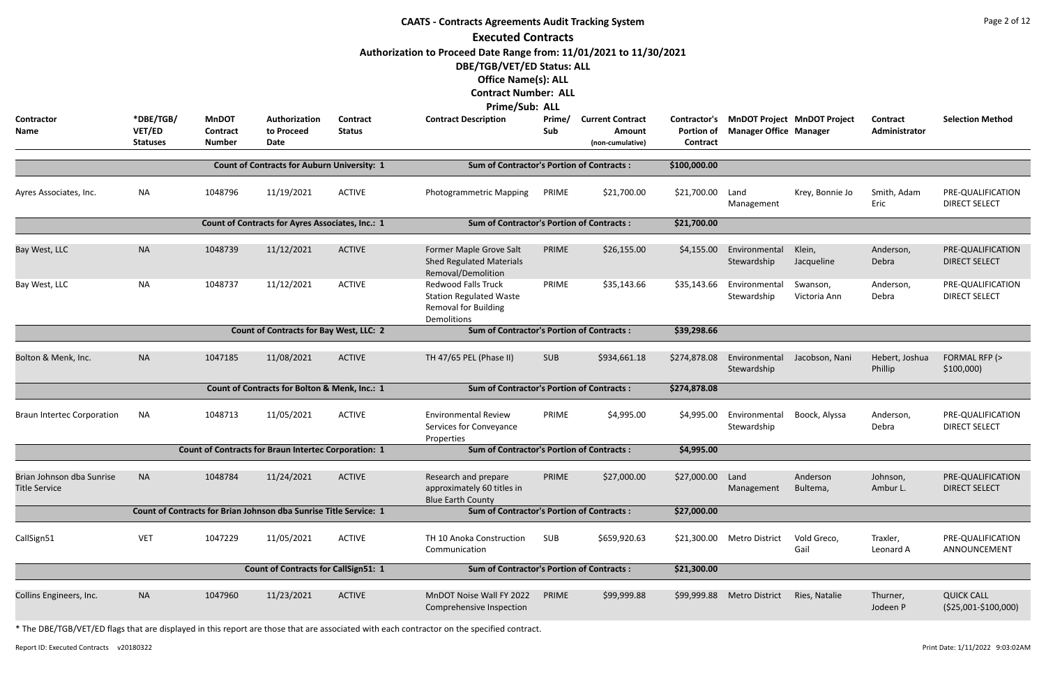|                                                   |                                        |                                                  |                                                                   |                                  | <b>CAATS - Contracts Agreements Audit Tracking System</b><br><b>Executed Contracts</b><br>Authorization to Proceed Date Range from: 11/01/2021 to 11/30/2021<br>DBE/TGB/VET/ED Status: ALL<br><b>Office Name(s): ALL</b><br><b>Contract Number: ALL</b> |               |                                                       |                                               |                               |                                    |                           | Page 2 of 12                               |
|---------------------------------------------------|----------------------------------------|--------------------------------------------------|-------------------------------------------------------------------|----------------------------------|---------------------------------------------------------------------------------------------------------------------------------------------------------------------------------------------------------------------------------------------------------|---------------|-------------------------------------------------------|-----------------------------------------------|-------------------------------|------------------------------------|---------------------------|--------------------------------------------|
| Contractor<br>Name                                | *DBE/TGB/<br>VET/ED<br><b>Statuses</b> | <b>MnDOT</b><br><b>Contract</b><br><b>Number</b> | Authorization<br>to Proceed<br>Date                               | <b>Contract</b><br><b>Status</b> | <b>Prime/Sub: ALL</b><br><b>Contract Description</b>                                                                                                                                                                                                    | Prime/<br>Sub | <b>Current Contract</b><br>Amount<br>(non-cumulative) | Contractor's<br><b>Portion of</b><br>Contract | <b>Manager Office Manager</b> | <b>MnDOT Project MnDOT Project</b> | Contract<br>Administrator | <b>Selection Method</b>                    |
|                                                   |                                        |                                                  | <b>Count of Contracts for Auburn University: 1</b>                |                                  | <b>Sum of Contractor's Portion of Contracts:</b>                                                                                                                                                                                                        |               |                                                       | \$100,000.00                                  |                               |                                    |                           |                                            |
| Ayres Associates, Inc.                            | <b>NA</b>                              | 1048796                                          | 11/19/2021                                                        | <b>ACTIVE</b>                    | <b>Photogrammetric Mapping</b>                                                                                                                                                                                                                          | PRIME         | \$21,700.00                                           | \$21,700.00                                   | Land<br>Management            | Krey, Bonnie Jo                    | Smith, Adam<br>Eric       | PRE-QUALIFICATION<br><b>DIRECT SELECT</b>  |
|                                                   |                                        |                                                  | <b>Count of Contracts for Ayres Associates, Inc.: 1</b>           |                                  | <b>Sum of Contractor's Portion of Contracts:</b>                                                                                                                                                                                                        |               |                                                       | \$21,700.00                                   |                               |                                    |                           |                                            |
| Bay West, LLC                                     | <b>NA</b>                              | 1048739                                          | 11/12/2021                                                        | <b>ACTIVE</b>                    | Former Maple Grove Salt<br><b>Shed Regulated Materials</b><br>Removal/Demolition                                                                                                                                                                        | PRIME         | \$26,155.00                                           | \$4,155.00                                    | Environmental<br>Stewardship  | Klein,<br>Jacqueline               | Anderson,<br>Debra        | PRE-QUALIFICATION<br><b>DIRECT SELECT</b>  |
| Bay West, LLC                                     | <b>NA</b>                              | 1048737                                          | 11/12/2021                                                        | <b>ACTIVE</b>                    | <b>Redwood Falls Truck</b><br><b>Station Regulated Waste</b><br><b>Removal for Building</b><br>Demolitions                                                                                                                                              | PRIME         | \$35,143.66                                           | \$35,143.66                                   | Environmental<br>Stewardship  | Swanson,<br>Victoria Ann           | Anderson,<br>Debra        | PRE-QUALIFICATION<br><b>DIRECT SELECT</b>  |
|                                                   |                                        |                                                  | <b>Count of Contracts for Bay West, LLC: 2</b>                    |                                  | <b>Sum of Contractor's Portion of Contracts:</b>                                                                                                                                                                                                        |               |                                                       | \$39,298.66                                   |                               |                                    |                           |                                            |
| Bolton & Menk, Inc.                               | <b>NA</b>                              | 1047185                                          | 11/08/2021                                                        | <b>ACTIVE</b>                    | TH 47/65 PEL (Phase II)                                                                                                                                                                                                                                 | <b>SUB</b>    | \$934,661.18                                          | \$274,878.08                                  | Environmental<br>Stewardship  | Jacobson, Nani                     | Hebert, Joshua<br>Phillip | FORMAL RFP (><br>\$100,000                 |
|                                                   |                                        |                                                  | Count of Contracts for Bolton & Menk, Inc.: 1                     |                                  | <b>Sum of Contractor's Portion of Contracts:</b>                                                                                                                                                                                                        |               |                                                       | \$274,878.08                                  |                               |                                    |                           |                                            |
| <b>Braun Intertec Corporation</b>                 | <b>NA</b>                              | 1048713                                          | 11/05/2021                                                        | <b>ACTIVE</b>                    | <b>Environmental Review</b><br>Services for Conveyance<br>Properties                                                                                                                                                                                    | PRIME         | \$4,995.00                                            | \$4,995.00                                    | Environmental<br>Stewardship  | Boock, Alyssa                      | Anderson,<br>Debra        | PRE-QUALIFICATION<br><b>DIRECT SELECT</b>  |
|                                                   |                                        |                                                  | <b>Count of Contracts for Braun Intertec Corporation: 1</b>       |                                  | <b>Sum of Contractor's Portion of Contracts:</b>                                                                                                                                                                                                        |               |                                                       | \$4,995.00                                    |                               |                                    |                           |                                            |
| Brian Johnson dba Sunrise<br><b>Title Service</b> | <b>NA</b>                              | 1048784                                          | 11/24/2021                                                        | <b>ACTIVE</b>                    | Research and prepare<br>approximately 60 titles in<br><b>Blue Earth County</b>                                                                                                                                                                          | PRIME         | \$27,000.00                                           | \$27,000.00                                   | Land<br>Management            | Anderson<br>Bultema,               | Johnson,<br>Ambur L.      | PRE-QUALIFICATION<br><b>DIRECT SELECT</b>  |
|                                                   |                                        |                                                  | Count of Contracts for Brian Johnson dba Sunrise Title Service: 1 |                                  | <b>Sum of Contractor's Portion of Contracts:</b>                                                                                                                                                                                                        |               |                                                       | \$27,000.00                                   |                               |                                    |                           |                                            |
| CallSign51                                        | <b>VET</b>                             | 1047229                                          | 11/05/2021                                                        | <b>ACTIVE</b>                    | TH 10 Anoka Construction<br>Communication                                                                                                                                                                                                               | <b>SUB</b>    | \$659,920.63                                          | \$21,300.00                                   | <b>Metro District</b>         | Vold Greco,<br>Gail                | Traxler,<br>Leonard A     | PRE-QUALIFICATION<br>ANNOUNCEMENT          |
|                                                   |                                        | <b>Count of Contracts for CallSign51: 1</b>      | <b>Sum of Contractor's Portion of Contracts:</b>                  |                                  |                                                                                                                                                                                                                                                         | \$21,300.00   |                                                       |                                               |                               |                                    |                           |                                            |
| Collins Engineers, Inc.                           | <b>NA</b>                              | 1047960                                          | 11/23/2021                                                        | <b>ACTIVE</b>                    | MnDOT Noise Wall FY 2022<br>Comprehensive Inspection                                                                                                                                                                                                    | PRIME         | \$99,999.88                                           | \$99,999.88                                   | <b>Metro District</b>         | Ries, Natalie                      | Thurner,<br>Jodeen P      | <b>QUICK CALL</b><br>$($25,001-\$100,000)$ |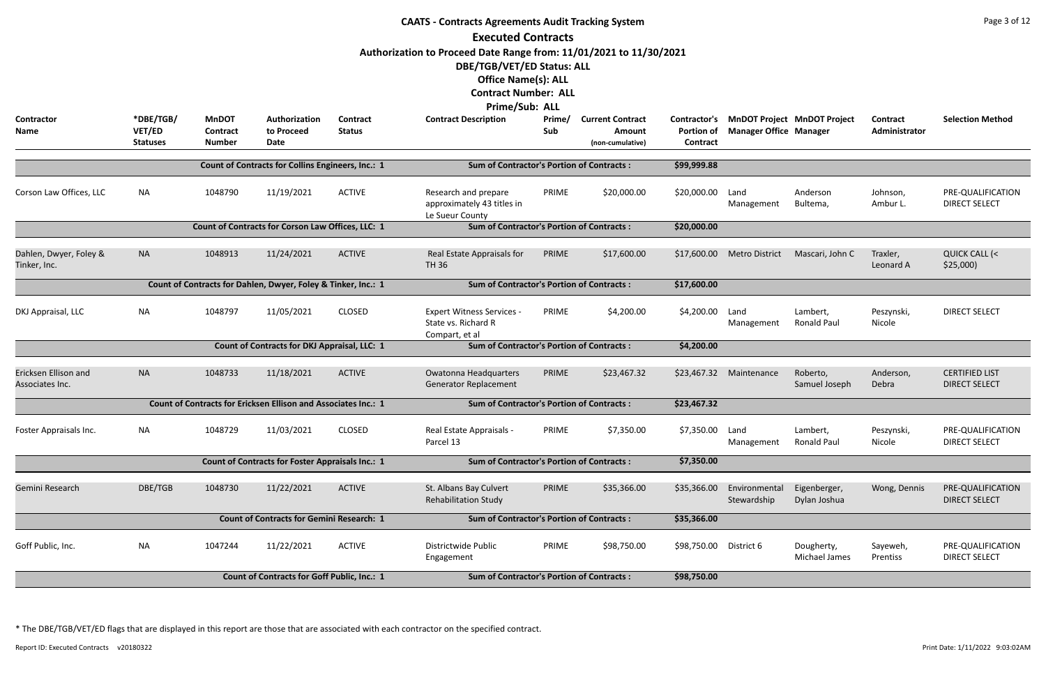|                                         |                                        |                                                  |                                                                       |                           | <b>CAATS - Contracts Agreements Audit Tracking System</b>                                                                                                                                                           |               |                                                              |                                                      |                                                                     |                              |                           | Page 3 of 12                                  |
|-----------------------------------------|----------------------------------------|--------------------------------------------------|-----------------------------------------------------------------------|---------------------------|---------------------------------------------------------------------------------------------------------------------------------------------------------------------------------------------------------------------|---------------|--------------------------------------------------------------|------------------------------------------------------|---------------------------------------------------------------------|------------------------------|---------------------------|-----------------------------------------------|
|                                         |                                        |                                                  |                                                                       |                           | <b>Executed Contracts</b><br>Authorization to Proceed Date Range from: 11/01/2021 to 11/30/2021<br>DBE/TGB/VET/ED Status: ALL<br><b>Office Name(s): ALL</b><br><b>Contract Number: ALL</b><br><b>Prime/Sub: ALL</b> |               |                                                              |                                                      |                                                                     |                              |                           |                                               |
| <b>Contractor</b><br>Name               | *DBE/TGB/<br>VET/ED<br><b>Statuses</b> | <b>MnDOT</b><br><b>Contract</b><br><b>Number</b> | Authorization<br>to Proceed<br>Date                                   | Contract<br><b>Status</b> | <b>Contract Description</b>                                                                                                                                                                                         | Prime/<br>Sub | <b>Current Contract</b><br><b>Amount</b><br>(non-cumulative) | Contractor's<br><b>Portion of</b><br><b>Contract</b> | <b>MnDOT Project MnDOT Project</b><br><b>Manager Office Manager</b> |                              | Contract<br>Administrator | <b>Selection Method</b>                       |
|                                         |                                        |                                                  | <b>Count of Contracts for Collins Engineers, Inc.: 1</b>              |                           | <b>Sum of Contractor's Portion of Contracts:</b>                                                                                                                                                                    |               |                                                              | \$99,999.88                                          |                                                                     |                              |                           |                                               |
| Corson Law Offices, LLC                 | <b>NA</b>                              | 1048790                                          | 11/19/2021                                                            | <b>ACTIVE</b>             | Research and prepare<br>approximately 43 titles in<br>Le Sueur County                                                                                                                                               | PRIME         | \$20,000.00                                                  | \$20,000.00                                          | Land<br>Management                                                  | Anderson<br>Bultema,         | Johnson,<br>Ambur L.      | PRE-QUALIFICATION<br><b>DIRECT SELECT</b>     |
|                                         |                                        |                                                  | Count of Contracts for Corson Law Offices, LLC: 1                     |                           | <b>Sum of Contractor's Portion of Contracts:</b>                                                                                                                                                                    |               |                                                              | \$20,000.00                                          |                                                                     |                              |                           |                                               |
| Dahlen, Dwyer, Foley &<br>Tinker, Inc.  | <b>NA</b>                              | 1048913                                          | 11/24/2021                                                            | <b>ACTIVE</b>             | Real Estate Appraisals for<br><b>TH 36</b>                                                                                                                                                                          | PRIME         | \$17,600.00                                                  | \$17,600.00                                          | <b>Metro District</b>                                               | Mascari, John C              | Traxler,<br>Leonard A     | <b>QUICK CALL (&lt;</b><br>\$25,000           |
|                                         |                                        |                                                  | Count of Contracts for Dahlen, Dwyer, Foley & Tinker, Inc.: 1         |                           | <b>Sum of Contractor's Portion of Contracts:</b>                                                                                                                                                                    |               |                                                              | \$17,600.00                                          |                                                                     |                              |                           |                                               |
| DKJ Appraisal, LLC                      | <b>NA</b>                              | 1048797                                          | 11/05/2021                                                            | <b>CLOSED</b>             | <b>Expert Witness Services -</b><br>State vs. Richard R<br>Compart, et al                                                                                                                                           | PRIME         | \$4,200.00                                                   | \$4,200.00                                           | Land<br>Management                                                  | Lambert,<br>Ronald Paul      | Peszynski,<br>Nicole      | <b>DIRECT SELECT</b>                          |
|                                         |                                        |                                                  | Count of Contracts for DKJ Appraisal, LLC: 1                          |                           | <b>Sum of Contractor's Portion of Contracts:</b>                                                                                                                                                                    |               |                                                              | \$4,200.00                                           |                                                                     |                              |                           |                                               |
| Ericksen Ellison and<br>Associates Inc. | <b>NA</b>                              | 1048733                                          | 11/18/2021                                                            | <b>ACTIVE</b>             | Owatonna Headquarters<br>Generator Replacement                                                                                                                                                                      | PRIME         | \$23,467.32                                                  | \$23,467.32                                          | Maintenance                                                         | Roberto,<br>Samuel Joseph    | Anderson,<br>Debra        | <b>CERTIFIED LIST</b><br><b>DIRECT SELECT</b> |
|                                         |                                        |                                                  | <b>Count of Contracts for Ericksen Ellison and Associates Inc.: 1</b> |                           | <b>Sum of Contractor's Portion of Contracts:</b>                                                                                                                                                                    |               |                                                              | \$23,467.32                                          |                                                                     |                              |                           |                                               |
| Foster Appraisals Inc.                  | <b>NA</b>                              | 1048729                                          | 11/03/2021                                                            | <b>CLOSED</b>             | Real Estate Appraisals -<br>Parcel 13                                                                                                                                                                               | PRIME         | \$7,350.00                                                   | \$7,350.00                                           | Land<br>Management                                                  | Lambert,<br>Ronald Paul      | Peszynski,<br>Nicole      | PRE-QUALIFICATION<br><b>DIRECT SELECT</b>     |
|                                         |                                        |                                                  | <b>Count of Contracts for Foster Appraisals Inc.: 1</b>               |                           | <b>Sum of Contractor's Portion of Contracts:</b>                                                                                                                                                                    |               |                                                              | \$7,350.00                                           |                                                                     |                              |                           |                                               |
| Gemini Research                         | DBE/TGB                                | 1048730                                          | 11/22/2021                                                            | <b>ACTIVE</b>             | St. Albans Bay Culvert<br><b>Rehabilitation Study</b>                                                                                                                                                               | PRIME         | \$35,366.00                                                  | \$35,366.00                                          | Environmental<br>Stewardship                                        | Eigenberger,<br>Dylan Joshua | Wong, Dennis              | PRE-QUALIFICATION<br><b>DIRECT SELECT</b>     |
|                                         |                                        |                                                  | <b>Count of Contracts for Gemini Research: 1</b>                      |                           | <b>Sum of Contractor's Portion of Contracts:</b>                                                                                                                                                                    |               |                                                              | \$35,366.00                                          |                                                                     |                              |                           |                                               |
| Goff Public, Inc.                       | <b>NA</b>                              | 1047244                                          | 11/22/2021                                                            | <b>ACTIVE</b>             | Districtwide Public<br>Engagement                                                                                                                                                                                   | PRIME         | \$98,750.00                                                  | \$98,750.00                                          | District 6                                                          | Dougherty,<br>Michael James  | Sayeweh,<br>Prentiss      | PRE-QUALIFICATION<br><b>DIRECT SELECT</b>     |
|                                         |                                        |                                                  | <b>Count of Contracts for Goff Public, Inc.: 1</b>                    |                           | <b>Sum of Contractor's Portion of Contracts:</b>                                                                                                                                                                    |               |                                                              | \$98,750.00                                          |                                                                     |                              |                           |                                               |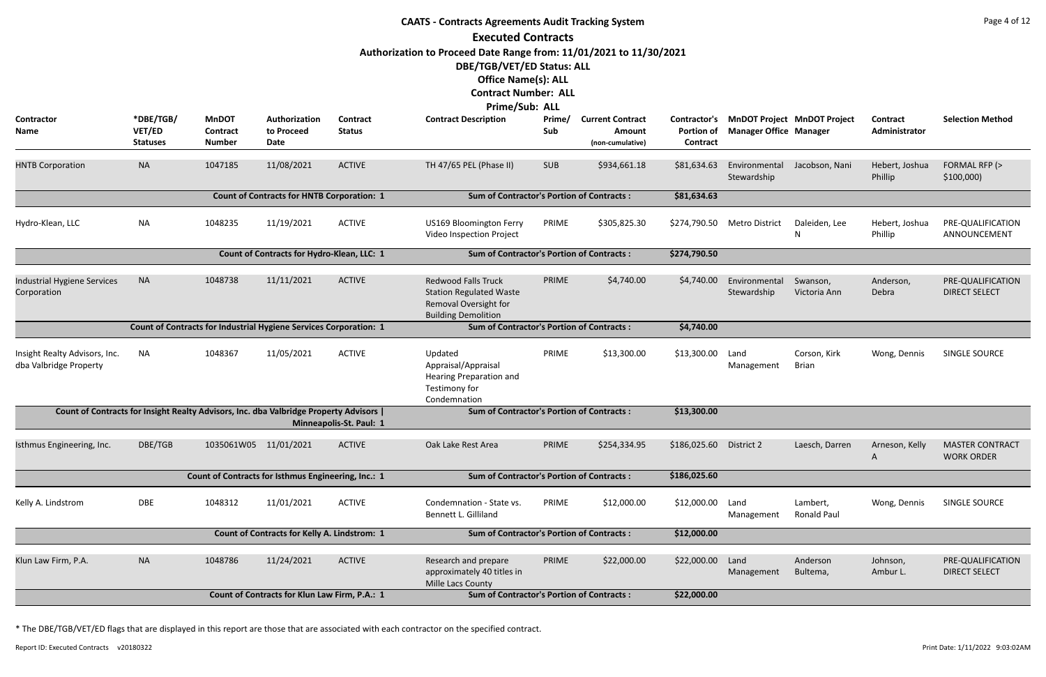|                                                         |                                        |                                           |                                                                                      |                                  | <b>CAATS - Contracts Agreements Audit Tracking System</b>                                                                                                                              |               |                                                       |                                               |                               |                                    |                           | Page 4 of 12                                |
|---------------------------------------------------------|----------------------------------------|-------------------------------------------|--------------------------------------------------------------------------------------|----------------------------------|----------------------------------------------------------------------------------------------------------------------------------------------------------------------------------------|---------------|-------------------------------------------------------|-----------------------------------------------|-------------------------------|------------------------------------|---------------------------|---------------------------------------------|
|                                                         |                                        |                                           |                                                                                      |                                  | <b>Executed Contracts</b>                                                                                                                                                              |               |                                                       |                                               |                               |                                    |                           |                                             |
|                                                         |                                        |                                           |                                                                                      |                                  | Authorization to Proceed Date Range from: 11/01/2021 to 11/30/2021<br>DBE/TGB/VET/ED Status: ALL<br><b>Office Name(s): ALL</b><br><b>Contract Number: ALL</b><br><b>Prime/Sub: ALL</b> |               |                                                       |                                               |                               |                                    |                           |                                             |
| Contractor<br><b>Name</b>                               | *DBE/TGB/<br>VET/ED<br><b>Statuses</b> | <b>MnDOT</b><br>Contract<br><b>Number</b> | Authorization<br>to Proceed<br><b>Date</b>                                           | <b>Contract</b><br><b>Status</b> | <b>Contract Description</b>                                                                                                                                                            | Prime/<br>Sub | <b>Current Contract</b><br>Amount<br>(non-cumulative) | <b>Contractor's</b><br>Portion of<br>Contract | <b>Manager Office Manager</b> | <b>MnDOT Project MnDOT Project</b> | Contract<br>Administrator | <b>Selection Method</b>                     |
| <b>HNTB Corporation</b>                                 | <b>NA</b>                              | 1047185                                   | 11/08/2021                                                                           | <b>ACTIVE</b>                    | TH 47/65 PEL (Phase II)                                                                                                                                                                | <b>SUB</b>    | \$934,661.18                                          | \$81,634.63                                   | Environmental<br>Stewardship  | Jacobson, Nani                     | Hebert, Joshua<br>Phillip | FORMAL RFP (><br>\$100,000                  |
|                                                         |                                        |                                           | <b>Count of Contracts for HNTB Corporation: 1</b>                                    |                                  | <b>Sum of Contractor's Portion of Contracts:</b>                                                                                                                                       |               |                                                       | \$81,634.63                                   |                               |                                    |                           |                                             |
| Hydro-Klean, LLC                                        | <b>NA</b>                              | 1048235                                   | 11/19/2021                                                                           | <b>ACTIVE</b>                    | US169 Bloomington Ferry<br>Video Inspection Project                                                                                                                                    | PRIME         | \$305,825.30                                          | \$274,790.50                                  | <b>Metro District</b>         | Daleiden, Lee                      | Hebert, Joshua<br>Phillip | PRE-QUALIFICATION<br>ANNOUNCEMENT           |
|                                                         |                                        |                                           | Count of Contracts for Hydro-Klean, LLC: 1                                           |                                  | <b>Sum of Contractor's Portion of Contracts:</b>                                                                                                                                       |               |                                                       | \$274,790.50                                  |                               |                                    |                           |                                             |
| Industrial Hygiene Services<br>Corporation              | <b>NA</b>                              | 1048738                                   | 11/11/2021                                                                           | <b>ACTIVE</b>                    | <b>Redwood Falls Truck</b><br><b>Station Regulated Waste</b><br>Removal Oversight for<br><b>Building Demolition</b>                                                                    | PRIME         | \$4,740.00                                            | \$4,740.00                                    | Environmental<br>Stewardship  | Swanson,<br>Victoria Ann           | Anderson,<br>Debra        | PRE-QUALIFICATION<br><b>DIRECT SELECT</b>   |
|                                                         |                                        |                                           | <b>Count of Contracts for Industrial Hygiene Services Corporation: 1</b>             |                                  | <b>Sum of Contractor's Portion of Contracts:</b>                                                                                                                                       |               |                                                       | \$4,740.00                                    |                               |                                    |                           |                                             |
| Insight Realty Advisors, Inc.<br>dba Valbridge Property | NA                                     | 1048367                                   | 11/05/2021                                                                           | <b>ACTIVE</b>                    | Updated<br>Appraisal/Appraisal<br><b>Hearing Preparation and</b><br>Testimony for<br>Condemnation                                                                                      | PRIME         | \$13,300.00                                           | \$13,300.00                                   | Land<br>Management            | Corson, Kirk<br><b>Brian</b>       | Wong, Dennis              | SINGLE SOURCE                               |
|                                                         |                                        |                                           | Count of Contracts for Insight Realty Advisors, Inc. dba Valbridge Property Advisors | Minneapolis-St. Paul: 1          | <b>Sum of Contractor's Portion of Contracts:</b>                                                                                                                                       |               |                                                       | \$13,300.00                                   |                               |                                    |                           |                                             |
| Isthmus Engineering, Inc.                               | DBE/TGB                                |                                           | 1035061W05 11/01/2021                                                                | <b>ACTIVE</b>                    | Oak Lake Rest Area                                                                                                                                                                     | PRIME         | \$254,334.95                                          | \$186,025.60                                  | District 2                    | Laesch, Darren                     | Arneson, Kelly<br>A       | <b>MASTER CONTRACT</b><br><b>WORK ORDER</b> |
|                                                         |                                        |                                           | Count of Contracts for Isthmus Engineering, Inc.: 1                                  |                                  | <b>Sum of Contractor's Portion of Contracts:</b>                                                                                                                                       |               |                                                       | \$186,025.60                                  |                               |                                    |                           |                                             |
| Kelly A. Lindstrom                                      | DBE                                    | 1048312                                   | 11/01/2021                                                                           | <b>ACTIVE</b>                    | Condemnation - State vs.<br>Bennett L. Gilliland                                                                                                                                       | PRIME         | \$12,000.00                                           | \$12,000.00                                   | Land<br>Management            | Lambert,<br><b>Ronald Paul</b>     | Wong, Dennis              | SINGLE SOURCE                               |
|                                                         |                                        |                                           | Count of Contracts for Kelly A. Lindstrom: 1                                         |                                  | <b>Sum of Contractor's Portion of Contracts:</b>                                                                                                                                       |               |                                                       | \$12,000.00                                   |                               |                                    |                           |                                             |
| Klun Law Firm, P.A.                                     | <b>NA</b>                              | 1048786                                   | 11/24/2021                                                                           | <b>ACTIVE</b>                    | Research and prepare<br>approximately 40 titles in<br>Mille Lacs County                                                                                                                | PRIME         | \$22,000.00                                           | \$22,000.00                                   | Land<br>Management            | Anderson<br>Bultema,               | Johnson,<br>Ambur L.      | PRE-QUALIFICATION<br><b>DIRECT SELECT</b>   |
|                                                         |                                        |                                           | Count of Contracts for Klun Law Firm, P.A.: 1                                        |                                  | <b>Sum of Contractor's Portion of Contracts:</b>                                                                                                                                       |               |                                                       | \$22,000.00                                   |                               |                                    |                           |                                             |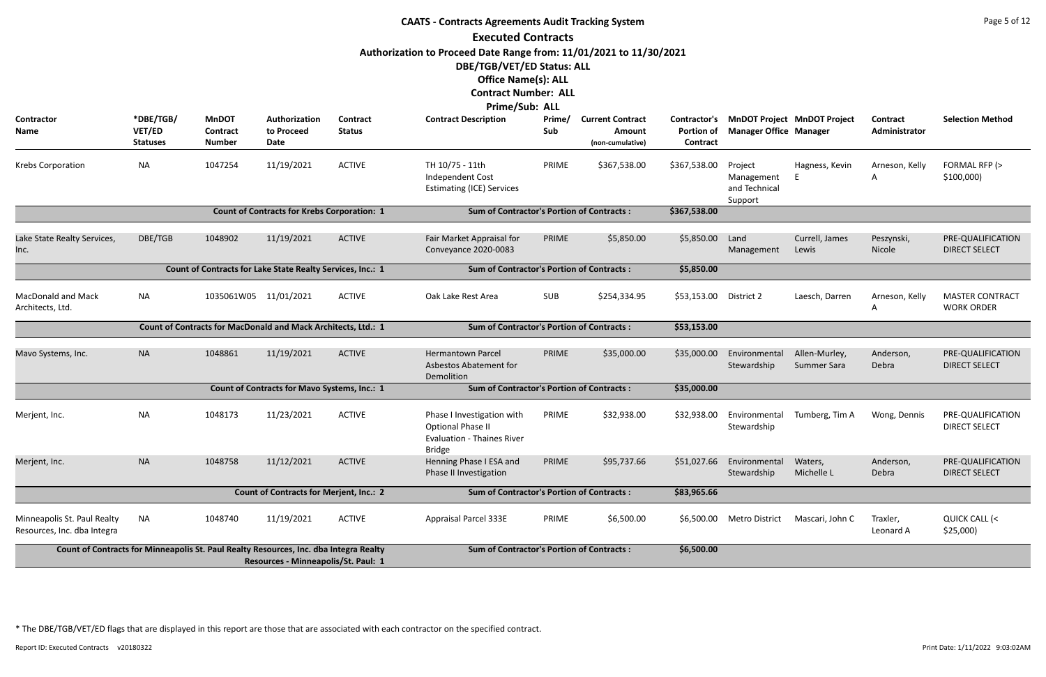|                                                                                       |                                        |                                                               |                                                     |                           | <b>CAATS - Contracts Agreements Audit Tracking System</b>                            |               |                                                       |                                               |                                                   |                                    |                           | Page 5 of 12                                |
|---------------------------------------------------------------------------------------|----------------------------------------|---------------------------------------------------------------|-----------------------------------------------------|---------------------------|--------------------------------------------------------------------------------------|---------------|-------------------------------------------------------|-----------------------------------------------|---------------------------------------------------|------------------------------------|---------------------------|---------------------------------------------|
|                                                                                       |                                        |                                                               |                                                     |                           | <b>Executed Contracts</b>                                                            |               |                                                       |                                               |                                                   |                                    |                           |                                             |
|                                                                                       |                                        |                                                               |                                                     |                           | Authorization to Proceed Date Range from: 11/01/2021 to 11/30/2021                   |               |                                                       |                                               |                                                   |                                    |                           |                                             |
|                                                                                       |                                        |                                                               |                                                     |                           | DBE/TGB/VET/ED Status: ALL                                                           |               |                                                       |                                               |                                                   |                                    |                           |                                             |
|                                                                                       |                                        |                                                               |                                                     |                           | <b>Office Name(s): ALL</b>                                                           |               |                                                       |                                               |                                                   |                                    |                           |                                             |
|                                                                                       |                                        |                                                               |                                                     |                           | <b>Contract Number: ALL</b>                                                          |               |                                                       |                                               |                                                   |                                    |                           |                                             |
|                                                                                       |                                        |                                                               |                                                     |                           | Prime/Sub: ALL                                                                       |               |                                                       |                                               |                                                   |                                    |                           |                                             |
| Contractor<br>Name                                                                    | *DBE/TGB/<br>VET/ED<br><b>Statuses</b> | <b>MnDOT</b><br>Contract<br><b>Number</b>                     | Authorization<br>to Proceed<br>Date                 | Contract<br><b>Status</b> | <b>Contract Description</b>                                                          | Prime/<br>Sub | <b>Current Contract</b><br>Amount<br>(non-cumulative) | Contractor's<br><b>Portion of</b><br>Contract | <b>Manager Office Manager</b>                     | <b>MnDOT Project MnDOT Project</b> | Contract<br>Administrator | <b>Selection Method</b>                     |
| Krebs Corporation                                                                     | <b>NA</b>                              | 1047254                                                       | 11/19/2021                                          | <b>ACTIVE</b>             | TH 10/75 - 11th<br>Independent Cost<br><b>Estimating (ICE) Services</b>              | PRIME         | \$367,538.00                                          | \$367,538.00                                  | Project<br>Management<br>and Technical<br>Support | Hagness, Kevin                     | Arneson, Kelly<br>A       | FORMAL RFP (><br>\$100,000                  |
|                                                                                       |                                        |                                                               | <b>Count of Contracts for Krebs Corporation: 1</b>  |                           | <b>Sum of Contractor's Portion of Contracts:</b>                                     |               |                                                       | \$367,538.00                                  |                                                   |                                    |                           |                                             |
| Lake State Realty Services,<br>Inc.                                                   | DBE/TGB                                | 1048902                                                       | 11/19/2021                                          | <b>ACTIVE</b>             | Fair Market Appraisal for<br>Conveyance 2020-0083                                    | PRIME         | \$5,850.00                                            | \$5,850.00                                    | Land<br>Management                                | Currell, James<br>Lewis            | Peszynski,<br>Nicole      | PRE-QUALIFICATION<br><b>DIRECT SELECT</b>   |
|                                                                                       |                                        | Count of Contracts for Lake State Realty Services, Inc.: 1    |                                                     |                           | <b>Sum of Contractor's Portion of Contracts:</b>                                     |               |                                                       | \$5,850.00                                    |                                                   |                                    |                           |                                             |
| <b>MacDonald and Mack</b><br>Architects, Ltd.                                         | <b>NA</b>                              | 1035061W05 11/01/2021                                         |                                                     | <b>ACTIVE</b>             | Oak Lake Rest Area                                                                   | <b>SUB</b>    | \$254,334.95                                          | \$53,153.00                                   | District 2                                        | Laesch, Darren                     | Arneson, Kelly<br>Α       | <b>MASTER CONTRACT</b><br><b>WORK ORDER</b> |
|                                                                                       |                                        | Count of Contracts for MacDonald and Mack Architects, Ltd.: 1 |                                                     |                           | <b>Sum of Contractor's Portion of Contracts:</b>                                     |               |                                                       | \$53,153.00                                   |                                                   |                                    |                           |                                             |
| Mavo Systems, Inc.                                                                    | <b>NA</b>                              | 1048861                                                       | 11/19/2021                                          | <b>ACTIVE</b>             | <b>Hermantown Parcel</b><br>Asbestos Abatement for<br>Demolition                     | PRIME         | \$35,000.00                                           | \$35,000.00                                   | Environmental<br>Stewardship                      | Allen-Murley,<br>Summer Sara       | Anderson,<br>Debra        | PRE-QUALIFICATION<br><b>DIRECT SELECT</b>   |
|                                                                                       |                                        |                                                               | <b>Count of Contracts for Mavo Systems, Inc.: 1</b> |                           | <b>Sum of Contractor's Portion of Contracts:</b>                                     |               |                                                       | \$35,000.00                                   |                                                   |                                    |                           |                                             |
| Merjent, Inc.                                                                         | <b>NA</b>                              | 1048173                                                       | 11/23/2021                                          | <b>ACTIVE</b>             | Phase I Investigation with<br>Optional Phase II<br><b>Evaluation - Thaines River</b> | PRIME         | \$32,938.00                                           | \$32,938.00                                   | Environmental<br>Stewardship                      | Tumberg, Tim A                     | Wong, Dennis              | PRE-QUALIFICATION<br><b>DIRECT SELECT</b>   |
| Merjent, Inc.                                                                         | <b>NA</b>                              | 1048758                                                       | 11/12/2021                                          | <b>ACTIVE</b>             | <b>Bridge</b><br>Henning Phase I ESA and<br>Phase II Investigation                   | PRIME         | \$95,737.66                                           | \$51,027.66                                   | Environmental<br>Stewardship                      | Waters,<br>Michelle L              | Anderson,<br>Debra        | PRE-QUALIFICATION<br><b>DIRECT SELECT</b>   |
|                                                                                       |                                        |                                                               | <b>Count of Contracts for Merjent, Inc.: 2</b>      |                           | <b>Sum of Contractor's Portion of Contracts:</b>                                     |               |                                                       | \$83,965.66                                   |                                                   |                                    |                           |                                             |
| Minneapolis St. Paul Realty<br>Resources, Inc. dba Integra                            | <b>NA</b>                              | 1048740                                                       | 11/19/2021                                          | <b>ACTIVE</b>             | Appraisal Parcel 333E                                                                | PRIME         | \$6,500.00                                            | \$6,500.00                                    | <b>Metro District</b>                             | Mascari, John C                    | Traxler,<br>Leonard A     | QUICK CALL (<<br>\$25,000                   |
| Count of Contracts for Minneapolis St. Paul Realty Resources, Inc. dba Integra Realty |                                        |                                                               | Resources - Minneapolis/St. Paul: 1                 |                           | <b>Sum of Contractor's Portion of Contracts:</b>                                     |               |                                                       | \$6,500.00                                    |                                                   |                                    |                           |                                             |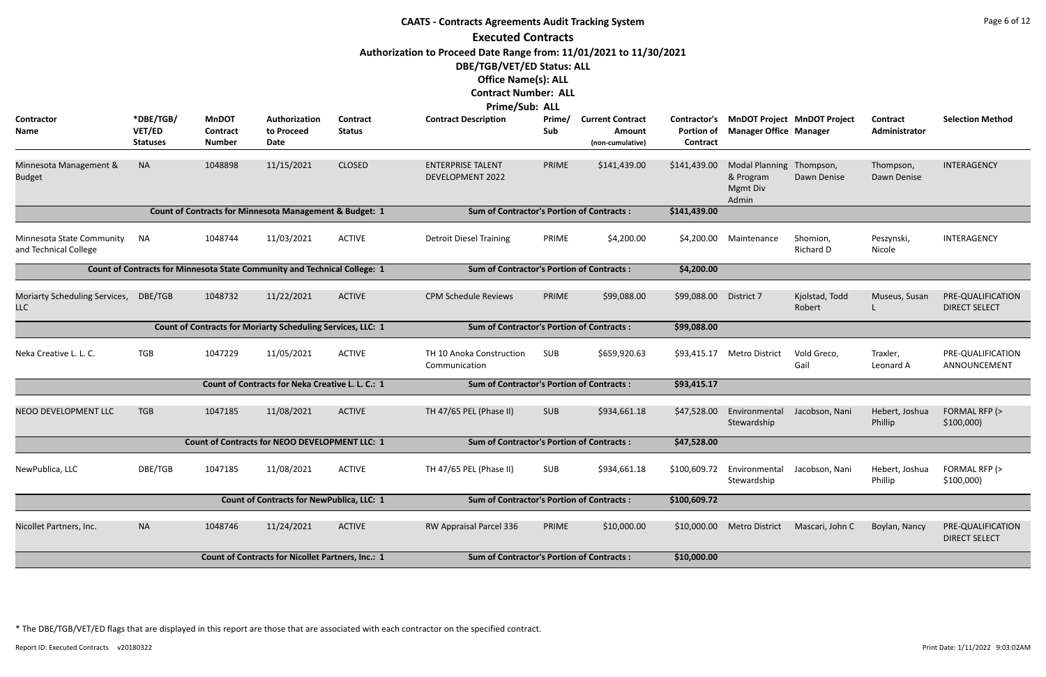|                                                    |                                        |                                                  |                                                                           |                           | <b>CAATS - Contracts Agreements Audit Tracking System</b>          |               |                                                       |                               |                                                            |                                          |                           | Page 6 of 12                              |
|----------------------------------------------------|----------------------------------------|--------------------------------------------------|---------------------------------------------------------------------------|---------------------------|--------------------------------------------------------------------|---------------|-------------------------------------------------------|-------------------------------|------------------------------------------------------------|------------------------------------------|---------------------------|-------------------------------------------|
|                                                    |                                        |                                                  |                                                                           |                           | <b>Executed Contracts</b>                                          |               |                                                       |                               |                                                            |                                          |                           |                                           |
|                                                    |                                        |                                                  |                                                                           |                           | Authorization to Proceed Date Range from: 11/01/2021 to 11/30/2021 |               |                                                       |                               |                                                            |                                          |                           |                                           |
|                                                    |                                        |                                                  |                                                                           |                           | DBE/TGB/VET/ED Status: ALL                                         |               |                                                       |                               |                                                            |                                          |                           |                                           |
|                                                    |                                        |                                                  |                                                                           |                           | <b>Office Name(s): ALL</b>                                         |               |                                                       |                               |                                                            |                                          |                           |                                           |
|                                                    |                                        |                                                  |                                                                           |                           | <b>Contract Number: ALL</b>                                        |               |                                                       |                               |                                                            |                                          |                           |                                           |
|                                                    |                                        |                                                  |                                                                           |                           | Prime/Sub: ALL                                                     |               |                                                       |                               |                                                            |                                          |                           |                                           |
| Contractor<br>Name                                 | *DBE/TGB/<br>VET/ED<br><b>Statuses</b> | <b>MnDOT</b><br><b>Contract</b><br><b>Number</b> | Authorization<br>to Proceed<br>Date                                       | Contract<br><b>Status</b> | <b>Contract Description</b>                                        | Prime/<br>Sub | <b>Current Contract</b><br>Amount<br>(non-cumulative) | <b>Portion of</b><br>Contract | <b>Manager Office Manager</b>                              | Contractor's MnDOT Project MnDOT Project | Contract<br>Administrator | <b>Selection Method</b>                   |
| Minnesota Management &<br><b>Budget</b>            | <b>NA</b>                              | 1048898                                          | 11/15/2021                                                                | <b>CLOSED</b>             | <b>ENTERPRISE TALENT</b><br><b>DEVELOPMENT 2022</b>                | PRIME         | \$141,439.00                                          | \$141,439.00                  | Modal Planning Thompson,<br>& Program<br>Mgmt Div<br>Admin | Dawn Denise                              | Thompson,<br>Dawn Denise  | INTERAGENCY                               |
|                                                    |                                        |                                                  | Count of Contracts for Minnesota Management & Budget: 1                   |                           | <b>Sum of Contractor's Portion of Contracts:</b>                   |               |                                                       | \$141,439.00                  |                                                            |                                          |                           |                                           |
| Minnesota State Community<br>and Technical College | <b>NA</b>                              | 1048744                                          | 11/03/2021                                                                | <b>ACTIVE</b>             | <b>Detroit Diesel Training</b>                                     | PRIME         | \$4,200.00                                            | \$4,200.00                    | Maintenance                                                | Shomion,<br>Richard D                    | Peszynski,<br>Nicole      | INTERAGENCY                               |
|                                                    |                                        |                                                  | Count of Contracts for Minnesota State Community and Technical College: 1 |                           | <b>Sum of Contractor's Portion of Contracts:</b>                   |               |                                                       | \$4,200.00                    |                                                            |                                          |                           |                                           |
| Moriarty Scheduling Services, DBE/TGB<br>LLC       |                                        | 1048732                                          | 11/22/2021                                                                | <b>ACTIVE</b>             | <b>CPM Schedule Reviews</b>                                        | PRIME         | \$99,088.00                                           | \$99,088.00                   | District 7                                                 | Kjolstad, Todd<br>Robert                 | Museus, Susan             | PRE-QUALIFICATION<br><b>DIRECT SELECT</b> |
|                                                    |                                        |                                                  | Count of Contracts for Moriarty Scheduling Services, LLC: 1               |                           | <b>Sum of Contractor's Portion of Contracts:</b>                   |               |                                                       | \$99,088.00                   |                                                            |                                          |                           |                                           |
| Neka Creative L. L. C.                             | <b>TGB</b>                             | 1047229                                          | 11/05/2021                                                                | <b>ACTIVE</b>             | TH 10 Anoka Construction<br>Communication                          | SUB           | \$659,920.63                                          | \$93,415.17                   | <b>Metro District</b>                                      | Vold Greco,<br>Gail                      | Traxler,<br>Leonard A     | PRE-QUALIFICATION<br>ANNOUNCEMENT         |
|                                                    |                                        |                                                  | Count of Contracts for Neka Creative L. L. C.: 1                          |                           | <b>Sum of Contractor's Portion of Contracts:</b>                   |               |                                                       | \$93,415.17                   |                                                            |                                          |                           |                                           |
| NEOO DEVELOPMENT LLC                               | <b>TGB</b>                             | 1047185                                          | 11/08/2021                                                                | <b>ACTIVE</b>             | TH 47/65 PEL (Phase II)                                            | <b>SUB</b>    | \$934,661.18                                          | \$47,528.00                   | Environmental<br>Stewardship                               | Jacobson, Nani                           | Hebert, Joshua<br>Phillip | FORMAL RFP (><br>\$100,000                |
|                                                    |                                        |                                                  | <b>Count of Contracts for NEOO DEVELOPMENT LLC: 1</b>                     |                           | <b>Sum of Contractor's Portion of Contracts:</b>                   |               |                                                       | \$47,528.00                   |                                                            |                                          |                           |                                           |
| NewPublica, LLC                                    | DBE/TGB                                | 1047185                                          | 11/08/2021                                                                | <b>ACTIVE</b>             | TH 47/65 PEL (Phase II)                                            | SUB           | \$934,661.18                                          | \$100,609.72                  | Environmental<br>Stewardship                               | Jacobson, Nani                           | Hebert, Joshua<br>Phillip | FORMAL RFP (><br>\$100,000                |
|                                                    |                                        |                                                  | <b>Count of Contracts for NewPublica, LLC: 1</b>                          |                           | <b>Sum of Contractor's Portion of Contracts:</b>                   |               |                                                       | \$100,609.72                  |                                                            |                                          |                           |                                           |
| Nicollet Partners, Inc.                            | <b>NA</b>                              | 1048746                                          | 11/24/2021                                                                | <b>ACTIVE</b>             | RW Appraisal Parcel 336                                            | PRIME         | \$10,000.00                                           | \$10,000.00                   | <b>Metro District</b>                                      | Mascari, John C                          | Boylan, Nancy             | PRE-QUALIFICATION<br><b>DIRECT SELECT</b> |
|                                                    |                                        |                                                  | <b>Count of Contracts for Nicollet Partners, Inc.: 1</b>                  |                           | <b>Sum of Contractor's Portion of Contracts:</b>                   |               |                                                       | \$10,000.00                   |                                                            |                                          |                           |                                           |
|                                                    |                                        |                                                  |                                                                           |                           |                                                                    |               |                                                       |                               |                                                            |                                          |                           |                                           |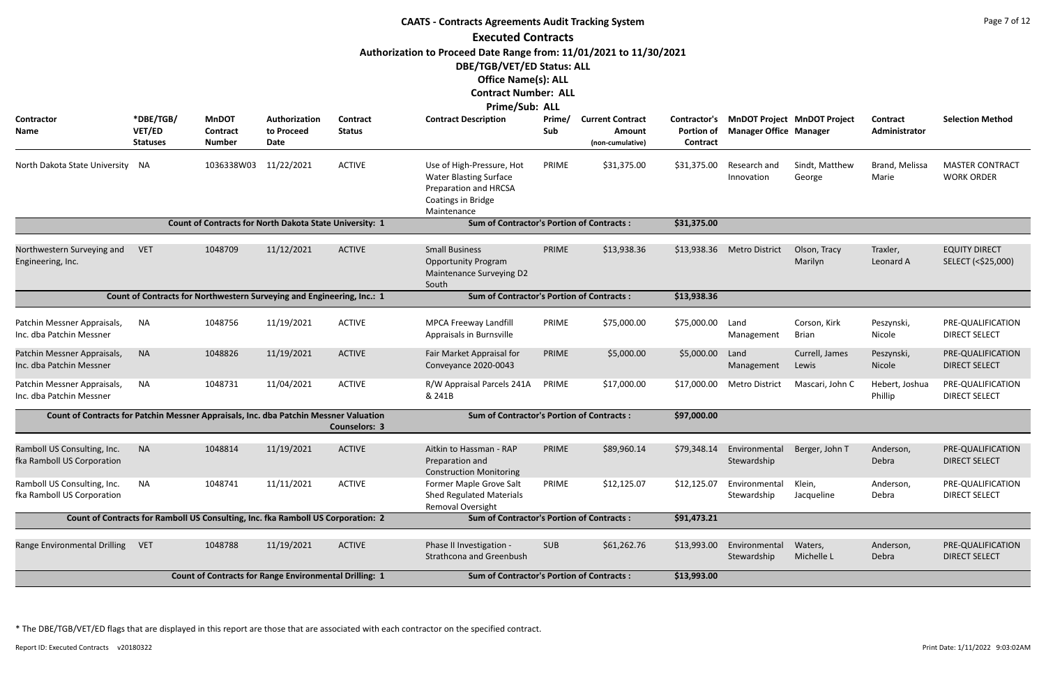|                                                                                       | Page 7 of 12<br><b>CAATS - Contracts Agreements Audit Tracking System</b><br><b>Executed Contracts</b> |                                                                                  |                                     |                           |                                                                                                                          |               |                                                       |                               |                               |                                          |                                  |                                             |  |  |
|---------------------------------------------------------------------------------------|--------------------------------------------------------------------------------------------------------|----------------------------------------------------------------------------------|-------------------------------------|---------------------------|--------------------------------------------------------------------------------------------------------------------------|---------------|-------------------------------------------------------|-------------------------------|-------------------------------|------------------------------------------|----------------------------------|---------------------------------------------|--|--|
|                                                                                       |                                                                                                        |                                                                                  |                                     |                           |                                                                                                                          |               |                                                       |                               |                               |                                          |                                  |                                             |  |  |
|                                                                                       |                                                                                                        |                                                                                  |                                     |                           | Authorization to Proceed Date Range from: 11/01/2021 to 11/30/2021                                                       |               |                                                       |                               |                               |                                          |                                  |                                             |  |  |
|                                                                                       |                                                                                                        |                                                                                  |                                     |                           | DBE/TGB/VET/ED Status: ALL                                                                                               |               |                                                       |                               |                               |                                          |                                  |                                             |  |  |
|                                                                                       |                                                                                                        |                                                                                  |                                     |                           | <b>Office Name(s): ALL</b>                                                                                               |               |                                                       |                               |                               |                                          |                                  |                                             |  |  |
|                                                                                       |                                                                                                        |                                                                                  |                                     |                           | <b>Contract Number: ALL</b>                                                                                              |               |                                                       |                               |                               |                                          |                                  |                                             |  |  |
|                                                                                       |                                                                                                        |                                                                                  |                                     |                           | <b>Prime/Sub: ALL</b>                                                                                                    |               |                                                       |                               |                               |                                          |                                  |                                             |  |  |
| Contractor<br>Name                                                                    | *DBE/TGB/<br>VET/ED<br><b>Statuses</b>                                                                 | <b>MnDOT</b><br>Contract<br><b>Number</b>                                        | Authorization<br>to Proceed<br>Date | Contract<br><b>Status</b> | <b>Contract Description</b>                                                                                              | Prime/<br>Sub | <b>Current Contract</b><br>Amount<br>(non-cumulative) | <b>Portion of</b><br>Contract | <b>Manager Office Manager</b> | Contractor's MnDOT Project MnDOT Project | <b>Contract</b><br>Administrator | <b>Selection Method</b>                     |  |  |
| North Dakota State University                                                         | NA.                                                                                                    | 1036338W03 11/22/2021                                                            |                                     | <b>ACTIVE</b>             | Use of High-Pressure, Hot<br><b>Water Blasting Surface</b><br>Preparation and HRCSA<br>Coatings in Bridge<br>Maintenance | PRIME         | \$31,375.00                                           | \$31,375.00                   | Research and<br>Innovation    | Sindt, Matthew<br>George                 | Brand, Melissa<br>Marie          | <b>MASTER CONTRACT</b><br><b>WORK ORDER</b> |  |  |
|                                                                                       |                                                                                                        | Count of Contracts for North Dakota State University: 1                          |                                     |                           | <b>Sum of Contractor's Portion of Contracts:</b>                                                                         |               |                                                       | \$31,375.00                   |                               |                                          |                                  |                                             |  |  |
|                                                                                       |                                                                                                        |                                                                                  |                                     |                           |                                                                                                                          |               |                                                       |                               |                               |                                          |                                  |                                             |  |  |
| Northwestern Surveying and<br>Engineering, Inc.                                       | <b>VET</b>                                                                                             | 1048709                                                                          | 11/12/2021                          | <b>ACTIVE</b>             | <b>Small Business</b><br><b>Opportunity Program</b><br>Maintenance Surveying D2<br>South                                 | PRIME         | \$13,938.36                                           | \$13,938.36                   | <b>Metro District</b>         | Olson, Tracy<br>Marilyn                  | Traxler,<br>Leonard A            | <b>EQUITY DIRECT</b><br>SELECT (<\$25,000)  |  |  |
|                                                                                       |                                                                                                        | Count of Contracts for Northwestern Surveying and Engineering, Inc.: 1           |                                     |                           | <b>Sum of Contractor's Portion of Contracts:</b>                                                                         |               |                                                       | \$13,938.36                   |                               |                                          |                                  |                                             |  |  |
|                                                                                       |                                                                                                        |                                                                                  |                                     |                           |                                                                                                                          |               |                                                       |                               |                               |                                          |                                  |                                             |  |  |
| Patchin Messner Appraisals,<br>Inc. dba Patchin Messner                               | NA                                                                                                     | 1048756                                                                          | 11/19/2021                          | <b>ACTIVE</b>             | MPCA Freeway Landfill<br>Appraisals in Burnsville                                                                        | PRIME         | \$75,000.00                                           | \$75,000.00                   | Land<br>Management            | Corson, Kirk<br><b>Brian</b>             | Peszynski,<br>Nicole             | PRE-QUALIFICATION<br>DIRECT SELECT          |  |  |
| Patchin Messner Appraisals,<br>Inc. dba Patchin Messner                               | <b>NA</b>                                                                                              | 1048826                                                                          | 11/19/2021                          | <b>ACTIVE</b>             | Fair Market Appraisal for<br>Conveyance 2020-0043                                                                        | PRIME         | \$5,000.00                                            | \$5,000.00                    | Land<br>Management            | Currell, James<br>Lewis                  | Peszynski,<br>Nicole             | PRE-QUALIFICATION<br><b>DIRECT SELECT</b>   |  |  |
| Patchin Messner Appraisals,<br>Inc. dba Patchin Messner                               | NA                                                                                                     | 1048731                                                                          | 11/04/2021                          | <b>ACTIVE</b>             | R/W Appraisal Parcels 241A<br>& 241B                                                                                     | PRIME         | \$17,000.00                                           | \$17,000.00                   | <b>Metro District</b>         | Mascari, John C                          | Hebert, Joshua<br>Phillip        | PRE-QUALIFICATION<br><b>DIRECT SELECT</b>   |  |  |
| Count of Contracts for Patchin Messner Appraisals, Inc. dba Patchin Messner Valuation |                                                                                                        |                                                                                  |                                     | <b>Counselors: 3</b>      | <b>Sum of Contractor's Portion of Contracts:</b>                                                                         |               |                                                       | \$97,000.00                   |                               |                                          |                                  |                                             |  |  |
| Ramboll US Consulting, Inc.<br>fka Ramboll US Corporation                             | <b>NA</b>                                                                                              | 1048814                                                                          | 11/19/2021                          | <b>ACTIVE</b>             | Aitkin to Hassman - RAP<br>Preparation and<br><b>Construction Monitoring</b>                                             | PRIME         | \$89,960.14                                           | \$79,348.14                   | Environmental<br>Stewardship  | Berger, John T                           | Anderson,<br>Debra               | PRE-QUALIFICATION<br><b>DIRECT SELECT</b>   |  |  |
| Ramboll US Consulting, Inc.<br>fka Ramboll US Corporation                             | NA                                                                                                     | 1048741                                                                          | 11/11/2021                          | <b>ACTIVE</b>             | Former Maple Grove Salt<br><b>Shed Regulated Materials</b><br>Removal Oversight                                          | PRIME         | \$12,125.07                                           | \$12,125.07                   | Environmental<br>Stewardship  | Klein,<br>Jacqueline                     | Anderson,<br>Debra               | PRE-QUALIFICATION<br><b>DIRECT SELECT</b>   |  |  |
|                                                                                       |                                                                                                        | Count of Contracts for Ramboll US Consulting, Inc. fka Ramboll US Corporation: 2 |                                     |                           | <b>Sum of Contractor's Portion of Contracts:</b>                                                                         |               |                                                       | \$91,473.21                   |                               |                                          |                                  |                                             |  |  |
|                                                                                       |                                                                                                        |                                                                                  |                                     |                           |                                                                                                                          |               |                                                       |                               |                               |                                          |                                  |                                             |  |  |
| Range Environmental Drilling                                                          | <b>VET</b>                                                                                             | 1048788                                                                          | 11/19/2021                          | <b>ACTIVE</b>             | Phase II Investigation -<br><b>Strathcona and Greenbush</b>                                                              | SUB           | \$61,262.76                                           | \$13,993.00                   | Environmental<br>Stewardship  | Waters,<br>Michelle L                    | Anderson,<br>Debra               | PRE-QUALIFICATION<br><b>DIRECT SELECT</b>   |  |  |
|                                                                                       |                                                                                                        | <b>Count of Contracts for Range Environmental Drilling: 1</b>                    |                                     |                           | <b>Sum of Contractor's Portion of Contracts:</b>                                                                         |               |                                                       | \$13,993.00                   |                               |                                          |                                  |                                             |  |  |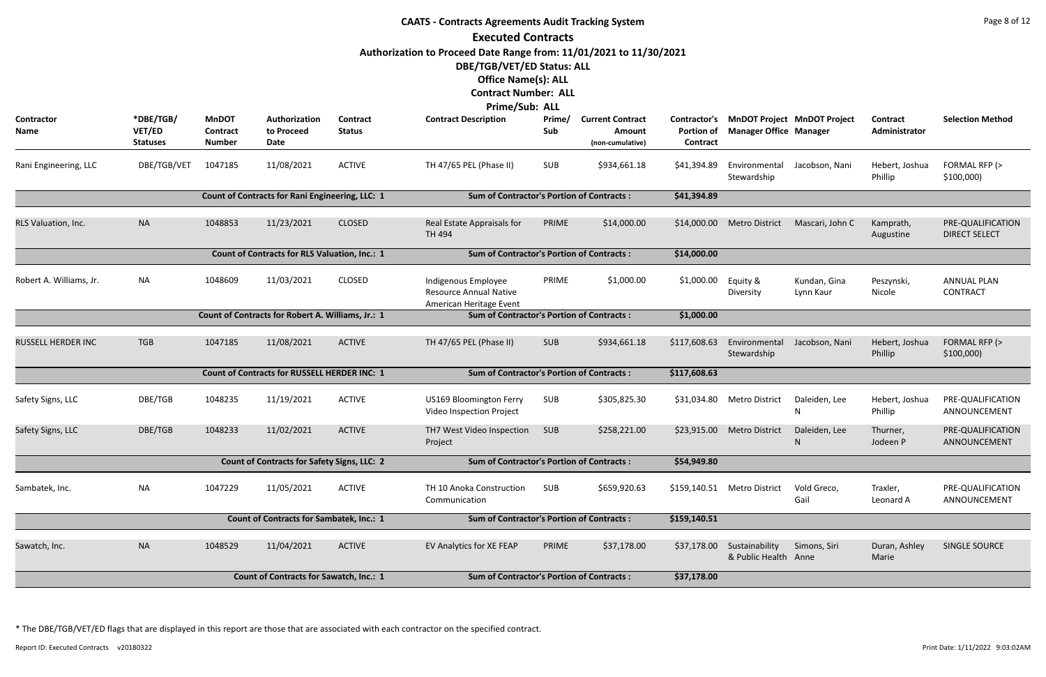|                           |                                                                                                     |                                           |                                                      |                                  | <b>CAATS - Contracts Agreements Audit Tracking System</b>                       |               |                                                       |                               |                                        |                                          |                           | Page 8 of 12                              |
|---------------------------|-----------------------------------------------------------------------------------------------------|-------------------------------------------|------------------------------------------------------|----------------------------------|---------------------------------------------------------------------------------|---------------|-------------------------------------------------------|-------------------------------|----------------------------------------|------------------------------------------|---------------------------|-------------------------------------------|
|                           |                                                                                                     |                                           |                                                      |                                  | <b>Executed Contracts</b>                                                       |               |                                                       |                               |                                        |                                          |                           |                                           |
|                           |                                                                                                     |                                           |                                                      |                                  | Authorization to Proceed Date Range from: 11/01/2021 to 11/30/2021              |               |                                                       |                               |                                        |                                          |                           |                                           |
|                           |                                                                                                     |                                           |                                                      |                                  | DBE/TGB/VET/ED Status: ALL                                                      |               |                                                       |                               |                                        |                                          |                           |                                           |
|                           |                                                                                                     |                                           |                                                      |                                  | <b>Office Name(s): ALL</b>                                                      |               |                                                       |                               |                                        |                                          |                           |                                           |
|                           |                                                                                                     |                                           |                                                      |                                  | <b>Contract Number: ALL</b>                                                     |               |                                                       |                               |                                        |                                          |                           |                                           |
|                           |                                                                                                     |                                           |                                                      |                                  | <b>Prime/Sub: ALL</b>                                                           |               |                                                       |                               |                                        |                                          |                           |                                           |
| Contractor<br>Name        | *DBE/TGB/<br>VET/ED<br><b>Statuses</b>                                                              | <b>MnDOT</b><br>Contract<br><b>Number</b> | Authorization<br>to Proceed<br>Date                  | <b>Contract</b><br><b>Status</b> | <b>Contract Description</b>                                                     | Prime/<br>Sub | <b>Current Contract</b><br>Amount<br>(non-cumulative) | <b>Portion of</b><br>Contract | <b>Manager Office Manager</b>          | Contractor's MnDOT Project MnDOT Project | Contract<br>Administrator | <b>Selection Method</b>                   |
| Rani Engineering, LLC     | DBE/TGB/VET                                                                                         | 1047185                                   | 11/08/2021                                           | <b>ACTIVE</b>                    | TH 47/65 PEL (Phase II)                                                         | SUB           | \$934,661.18                                          | \$41,394.89                   | Environmental<br>Stewardship           | Jacobson, Nani                           | Hebert, Joshua<br>Phillip | FORMAL RFP (><br>\$100,000                |
|                           | Count of Contracts for Rani Engineering, LLC: 1<br><b>Sum of Contractor's Portion of Contracts:</b> |                                           |                                                      |                                  |                                                                                 |               |                                                       |                               |                                        |                                          |                           |                                           |
| RLS Valuation, Inc.       | <b>NA</b>                                                                                           | 1048853                                   | 11/23/2021                                           | <b>CLOSED</b>                    | Real Estate Appraisals for<br>TH 494                                            | PRIME         | \$14,000.00                                           | \$14,000.00                   | <b>Metro District</b>                  | Mascari, John C                          | Kamprath,<br>Augustine    | PRE-QUALIFICATION<br><b>DIRECT SELECT</b> |
|                           |                                                                                                     |                                           | <b>Count of Contracts for RLS Valuation, Inc.: 1</b> |                                  | <b>Sum of Contractor's Portion of Contracts:</b>                                |               |                                                       | \$14,000.00                   |                                        |                                          |                           |                                           |
| Robert A. Williams, Jr.   | <b>NA</b>                                                                                           | 1048609                                   | 11/03/2021                                           | <b>CLOSED</b>                    | Indigenous Employee<br><b>Resource Annual Native</b><br>American Heritage Event | PRIME         | \$1,000.00                                            | \$1,000.00                    | Equity &<br>Diversity                  | Kundan, Gina<br>Lynn Kaur                | Peszynski,<br>Nicole      | <b>ANNUAL PLAN</b><br><b>CONTRACT</b>     |
|                           |                                                                                                     |                                           | Count of Contracts for Robert A. Williams, Jr.: 1    |                                  | <b>Sum of Contractor's Portion of Contracts:</b>                                |               |                                                       | \$1,000.00                    |                                        |                                          |                           |                                           |
| <b>RUSSELL HERDER INC</b> | <b>TGB</b>                                                                                          | 1047185                                   | 11/08/2021                                           | <b>ACTIVE</b>                    | TH 47/65 PEL (Phase II)                                                         | <b>SUB</b>    | \$934,661.18                                          | \$117,608.63                  | Environmental<br>Stewardship           | Jacobson, Nani                           | Hebert, Joshua<br>Phillip | FORMAL RFP (><br>\$100,000                |
|                           |                                                                                                     |                                           | <b>Count of Contracts for RUSSELL HERDER INC: 1</b>  |                                  | <b>Sum of Contractor's Portion of Contracts:</b>                                |               |                                                       | \$117,608.63                  |                                        |                                          |                           |                                           |
| Safety Signs, LLC         | DBE/TGB                                                                                             | 1048235                                   | 11/19/2021                                           | <b>ACTIVE</b>                    | US169 Bloomington Ferry<br>Video Inspection Project                             | <b>SUB</b>    | \$305,825.30                                          |                               | \$31,034.80 Metro District             | Daleiden, Lee<br>N                       | Hebert, Joshua<br>Phillip | PRE-QUALIFICATION<br>ANNOUNCEMENT         |
| Safety Signs, LLC         | DBE/TGB                                                                                             | 1048233                                   | 11/02/2021                                           | <b>ACTIVE</b>                    | TH7 West Video Inspection<br>Project                                            | SUB           | \$258,221.00                                          |                               | \$23,915.00 Metro District             | Daleiden, Lee<br>N                       | Thurner,<br>Jodeen P      | PRE-QUALIFICATION<br>ANNOUNCEMENT         |
|                           |                                                                                                     |                                           | <b>Count of Contracts for Safety Signs, LLC: 2</b>   |                                  | <b>Sum of Contractor's Portion of Contracts:</b>                                |               |                                                       | \$54,949.80                   |                                        |                                          |                           |                                           |
| Sambatek, Inc.            | <b>NA</b>                                                                                           | 1047229                                   | 11/05/2021                                           | <b>ACTIVE</b>                    | TH 10 Anoka Construction<br>Communication                                       | SUB           | \$659,920.63                                          |                               | \$159,140.51 Metro District            | Vold Greco,<br>Gail                      | Traxler,<br>Leonard A     | PRE-QUALIFICATION<br>ANNOUNCEMENT         |
|                           |                                                                                                     |                                           | <b>Count of Contracts for Sambatek, Inc.: 1</b>      |                                  | <b>Sum of Contractor's Portion of Contracts:</b>                                |               |                                                       | \$159,140.51                  |                                        |                                          |                           |                                           |
| Sawatch, Inc.             | <b>NA</b>                                                                                           | 1048529                                   | 11/04/2021                                           | <b>ACTIVE</b>                    | EV Analytics for XE FEAP                                                        | PRIME         | \$37,178.00                                           | \$37,178.00                   | Sustainability<br>& Public Health Anne | Simons, Siri                             | Duran, Ashley<br>Marie    | SINGLE SOURCE                             |
|                           |                                                                                                     |                                           | <b>Count of Contracts for Sawatch, Inc.: 1</b>       |                                  | <b>Sum of Contractor's Portion of Contracts:</b>                                |               |                                                       | \$37,178.00                   |                                        |                                          |                           |                                           |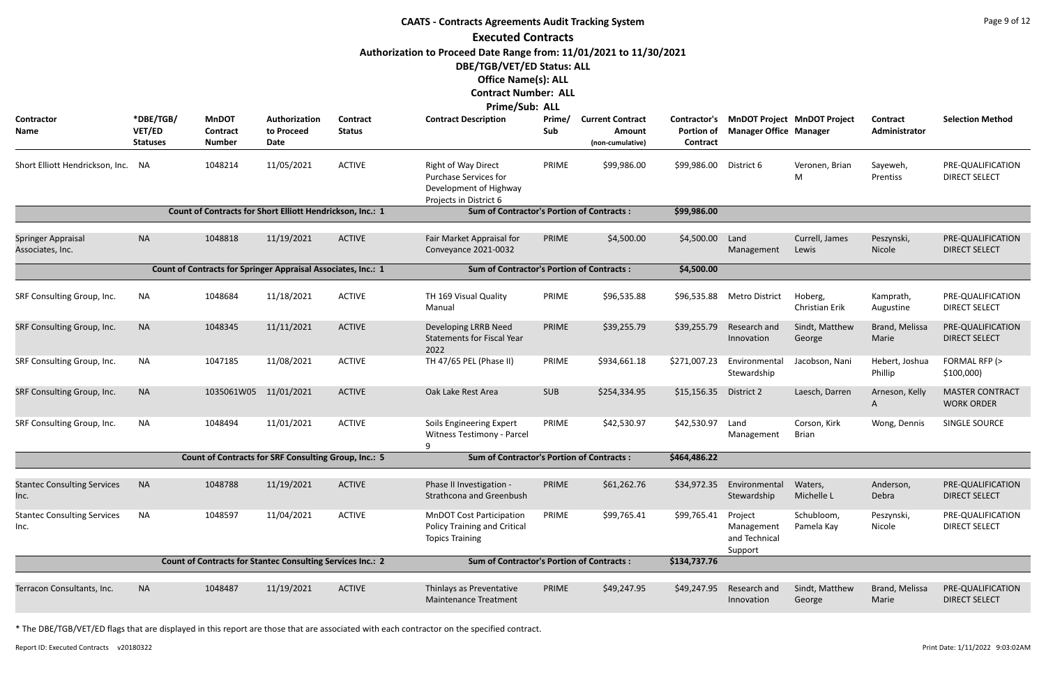|                                               |                                        |                                                                   |                                     |                                  | <b>CAATS - Contracts Agreements Audit Tracking System</b>                                                      |               |                                                       |                                                      |                                                   |                                    |                                  | Page 9 of 12                                |
|-----------------------------------------------|----------------------------------------|-------------------------------------------------------------------|-------------------------------------|----------------------------------|----------------------------------------------------------------------------------------------------------------|---------------|-------------------------------------------------------|------------------------------------------------------|---------------------------------------------------|------------------------------------|----------------------------------|---------------------------------------------|
|                                               |                                        |                                                                   |                                     |                                  | <b>Executed Contracts</b>                                                                                      |               |                                                       |                                                      |                                                   |                                    |                                  |                                             |
|                                               |                                        |                                                                   |                                     |                                  | Authorization to Proceed Date Range from: 11/01/2021 to 11/30/2021                                             |               |                                                       |                                                      |                                                   |                                    |                                  |                                             |
|                                               |                                        |                                                                   |                                     |                                  | <b>DBE/TGB/VET/ED Status: ALL</b>                                                                              |               |                                                       |                                                      |                                                   |                                    |                                  |                                             |
|                                               |                                        |                                                                   |                                     |                                  | <b>Office Name(s): ALL</b>                                                                                     |               |                                                       |                                                      |                                                   |                                    |                                  |                                             |
|                                               |                                        |                                                                   |                                     |                                  | <b>Contract Number: ALL</b>                                                                                    |               |                                                       |                                                      |                                                   |                                    |                                  |                                             |
|                                               |                                        |                                                                   |                                     |                                  | Prime/Sub: ALL                                                                                                 |               |                                                       |                                                      |                                                   |                                    |                                  |                                             |
| Contractor<br>Name                            | *DBE/TGB/<br>VET/ED<br><b>Statuses</b> | <b>MnDOT</b><br>Contract<br><b>Number</b>                         | Authorization<br>to Proceed<br>Date | <b>Contract</b><br><b>Status</b> | <b>Contract Description</b>                                                                                    | Prime/<br>Sub | <b>Current Contract</b><br>Amount<br>(non-cumulative) | <b>Contractor's</b><br><b>Portion of</b><br>Contract | <b>Manager Office Manager</b>                     | <b>MnDOT Project MnDOT Project</b> | <b>Contract</b><br>Administrator | <b>Selection Method</b>                     |
| Short Elliott Hendrickson, Inc.               | - NA                                   | 1048214                                                           | 11/05/2021                          | <b>ACTIVE</b>                    | <b>Right of Way Direct</b><br><b>Purchase Services for</b><br>Development of Highway<br>Projects in District 6 | PRIME         | \$99,986.00                                           | \$99,986.00                                          | District 6                                        | Veronen, Brian<br>M                | Sayeweh,<br>Prentiss             | PRE-QUALIFICATION<br><b>DIRECT SELECT</b>   |
|                                               |                                        | Count of Contracts for Short Elliott Hendrickson, Inc.: 1         |                                     |                                  | <b>Sum of Contractor's Portion of Contracts:</b>                                                               |               |                                                       | \$99,986.00                                          |                                                   |                                    |                                  |                                             |
| <b>Springer Appraisal</b><br>Associates, Inc. | <b>NA</b>                              | 1048818                                                           | 11/19/2021                          | <b>ACTIVE</b>                    | Fair Market Appraisal for<br>Conveyance 2021-0032                                                              | PRIME         | \$4,500.00                                            | \$4,500.00                                           | Land<br>Management                                | Currell, James<br>Lewis            | Peszynski,<br>Nicole             | PRE-QUALIFICATION<br><b>DIRECT SELECT</b>   |
|                                               |                                        | Count of Contracts for Springer Appraisal Associates, Inc.: 1     |                                     |                                  | <b>Sum of Contractor's Portion of Contracts:</b>                                                               |               |                                                       | \$4,500.00                                           |                                                   |                                    |                                  |                                             |
| SRF Consulting Group, Inc.                    | <b>NA</b>                              | 1048684                                                           | 11/18/2021                          | <b>ACTIVE</b>                    | TH 169 Visual Quality<br>Manual                                                                                | PRIME         | \$96,535.88                                           | \$96,535.88                                          | <b>Metro District</b>                             | Hoberg,<br>Christian Erik          | Kamprath,<br>Augustine           | PRE-QUALIFICATION<br><b>DIRECT SELECT</b>   |
| SRF Consulting Group, Inc.                    | <b>NA</b>                              | 1048345                                                           | 11/11/2021                          | <b>ACTIVE</b>                    | Developing LRRB Need<br><b>Statements for Fiscal Year</b><br>2022                                              | PRIME         | \$39,255.79                                           | \$39,255.79                                          | Research and<br>Innovation                        | Sindt, Matthew<br>George           | Brand, Melissa<br>Marie          | PRE-QUALIFICATION<br><b>DIRECT SELECT</b>   |
| SRF Consulting Group, Inc.                    | NA                                     | 1047185                                                           | 11/08/2021                          | <b>ACTIVE</b>                    | TH 47/65 PEL (Phase II)                                                                                        | PRIME         | \$934,661.18                                          | \$271,007.23                                         | Environmental<br>Stewardship                      | Jacobson, Nani                     | Hebert, Joshua<br>Phillip        | FORMAL RFP (><br>\$100,000                  |
| SRF Consulting Group, Inc.                    | <b>NA</b>                              | 1035061W05 11/01/2021                                             |                                     | <b>ACTIVE</b>                    | Oak Lake Rest Area                                                                                             | <b>SUB</b>    | \$254,334.95                                          | \$15,156.35                                          | District 2                                        | Laesch, Darren                     | Arneson, Kelly<br>A              | <b>MASTER CONTRACT</b><br><b>WORK ORDER</b> |
| SRF Consulting Group, Inc.                    | NA                                     | 1048494                                                           | 11/01/2021                          | <b>ACTIVE</b>                    | Soils Engineering Expert<br><b>Witness Testimony - Parcel</b><br>q                                             | PRIME         | \$42,530.97                                           | \$42,530.97                                          | Land<br>Management                                | Corson, Kirk<br><b>Brian</b>       | Wong, Dennis                     | <b>SINGLE SOURCE</b>                        |
|                                               |                                        | Count of Contracts for SRF Consulting Group, Inc.: 5              |                                     |                                  | <b>Sum of Contractor's Portion of Contracts:</b>                                                               |               |                                                       | \$464,486.22                                         |                                                   |                                    |                                  |                                             |
| <b>Stantec Consulting Services</b>            | <b>NA</b>                              | 1048788                                                           | 11/19/2021                          | <b>ACTIVE</b>                    | Phase II Investigation -                                                                                       | PRIME         | \$61,262.76                                           | \$34,972.35                                          | Environmental                                     | Waters,                            | Anderson,                        | PRE-QUALIFICATION                           |
| Inc.                                          |                                        |                                                                   |                                     |                                  | Strathcona and Greenbush                                                                                       |               |                                                       |                                                      | Stewardship                                       | Michelle L                         | Debra                            | <b>DIRECT SELECT</b>                        |
| <b>Stantec Consulting Services</b><br>Inc.    | NA                                     | 1048597                                                           | 11/04/2021                          | <b>ACTIVE</b>                    | <b>MnDOT Cost Participation</b><br><b>Policy Training and Critical</b><br><b>Topics Training</b>               | PRIME         | \$99,765.41                                           | \$99,765.41                                          | Project<br>Management<br>and Technical<br>Support | Schubloom,<br>Pamela Kay           | Peszynski,<br>Nicole             | PRE-QUALIFICATION<br><b>DIRECT SELECT</b>   |
|                                               |                                        | <b>Count of Contracts for Stantec Consulting Services Inc.: 2</b> |                                     |                                  | <b>Sum of Contractor's Portion of Contracts:</b>                                                               |               |                                                       | \$134,737.76                                         |                                                   |                                    |                                  |                                             |
| Terracon Consultants, Inc.                    | <b>NA</b>                              | 1048487                                                           | 11/19/2021                          | <b>ACTIVE</b>                    | Thinlays as Preventative<br><b>Maintenance Treatment</b>                                                       | PRIME         | \$49,247.95                                           | \$49,247.95                                          | Research and<br>Innovation                        | Sindt, Matthew<br>George           | Brand, Melissa<br>Marie          | PRE-QUALIFICATION<br><b>DIRECT SELECT</b>   |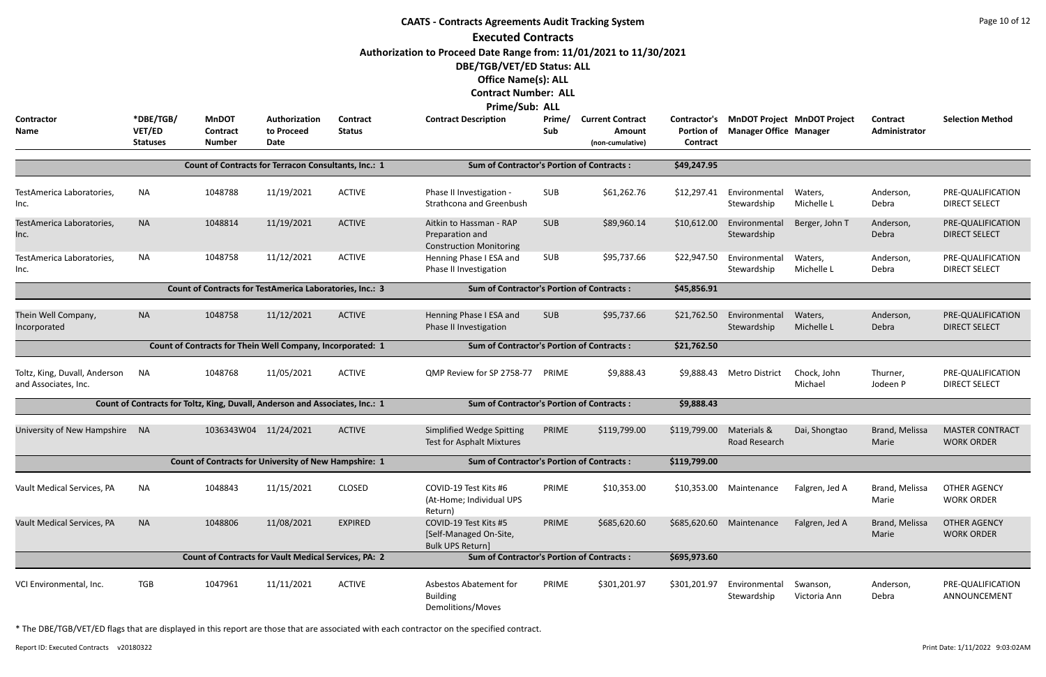|                                                       |                                        |                                                                              |                                     |                                  | <b>CAATS - Contracts Agreements Audit Tracking System</b>                                                                                                                                                                                          |               |                                                       |                                                      |                               |                                    |                           | Page 10 of 12                               |
|-------------------------------------------------------|----------------------------------------|------------------------------------------------------------------------------|-------------------------------------|----------------------------------|----------------------------------------------------------------------------------------------------------------------------------------------------------------------------------------------------------------------------------------------------|---------------|-------------------------------------------------------|------------------------------------------------------|-------------------------------|------------------------------------|---------------------------|---------------------------------------------|
| <b>Contractor</b><br>Name                             | *DBE/TGB/<br>VET/ED<br><b>Statuses</b> | <b>MnDOT</b><br><b>Contract</b><br><b>Number</b>                             | Authorization<br>to Proceed<br>Date | <b>Contract</b><br><b>Status</b> | <b>Executed Contracts</b><br>Authorization to Proceed Date Range from: 11/01/2021 to 11/30/2021<br>DBE/TGB/VET/ED Status: ALL<br><b>Office Name(s): ALL</b><br><b>Contract Number: ALL</b><br><b>Prime/Sub: ALL</b><br><b>Contract Description</b> | Prime/<br>Sub | <b>Current Contract</b><br>Amount<br>(non-cumulative) | Contractor's<br><b>Portion of</b><br><b>Contract</b> | <b>Manager Office Manager</b> | <b>MnDOT Project MnDOT Project</b> | Contract<br>Administrator | <b>Selection Method</b>                     |
|                                                       |                                        | Count of Contracts for Terracon Consultants, Inc.: 1                         |                                     |                                  | <b>Sum of Contractor's Portion of Contracts:</b>                                                                                                                                                                                                   |               |                                                       | \$49,247.95                                          |                               |                                    |                           |                                             |
| TestAmerica Laboratories,<br>Inc.                     | <b>NA</b>                              | 1048788                                                                      | 11/19/2021                          | <b>ACTIVE</b>                    | Phase II Investigation -<br>Strathcona and Greenbush                                                                                                                                                                                               | SUB           | \$61,262.76                                           | \$12,297.41                                          | Environmental<br>Stewardship  | Waters,<br>Michelle L              | Anderson,<br>Debra        | PRE-QUALIFICATION<br><b>DIRECT SELECT</b>   |
| TestAmerica Laboratories,<br>Inc.                     | <b>NA</b>                              | 1048814                                                                      | 11/19/2021                          | <b>ACTIVE</b>                    | Aitkin to Hassman - RAP<br>Preparation and<br><b>Construction Monitoring</b>                                                                                                                                                                       | <b>SUB</b>    | \$89,960.14                                           | \$10,612.00                                          | Environmental<br>Stewardship  | Berger, John T                     | Anderson,<br>Debra        | PRE-QUALIFICATION<br><b>DIRECT SELECT</b>   |
| TestAmerica Laboratories,<br>Inc.                     | <b>NA</b>                              | 1048758                                                                      | 11/12/2021                          | <b>ACTIVE</b>                    | Henning Phase I ESA and<br>Phase II Investigation                                                                                                                                                                                                  | SUB           | \$95,737.66                                           | \$22,947.50                                          | Environmental<br>Stewardship  | Waters,<br>Michelle L              | Anderson,<br>Debra        | PRE-QUALIFICATION<br><b>DIRECT SELECT</b>   |
|                                                       |                                        | Count of Contracts for TestAmerica Laboratories, Inc.: 3                     |                                     |                                  | <b>Sum of Contractor's Portion of Contracts:</b>                                                                                                                                                                                                   |               |                                                       | \$45,856.91                                          |                               |                                    |                           |                                             |
| Thein Well Company,<br>Incorporated                   | <b>NA</b>                              | 1048758                                                                      | 11/12/2021                          | <b>ACTIVE</b>                    | Henning Phase I ESA and<br>Phase II Investigation                                                                                                                                                                                                  | <b>SUB</b>    | \$95,737.66                                           | \$21,762.50                                          | Environmental<br>Stewardship  | Waters,<br>Michelle L              | Anderson,<br>Debra        | PRE-QUALIFICATION<br><b>DIRECT SELECT</b>   |
|                                                       |                                        | Count of Contracts for Thein Well Company, Incorporated: 1                   |                                     |                                  | <b>Sum of Contractor's Portion of Contracts:</b>                                                                                                                                                                                                   |               |                                                       | \$21,762.50                                          |                               |                                    |                           |                                             |
| Toltz, King, Duvall, Anderson<br>and Associates, Inc. | <b>NA</b>                              | 1048768                                                                      | 11/05/2021                          | <b>ACTIVE</b>                    | QMP Review for SP 2758-77                                                                                                                                                                                                                          | PRIME         | \$9,888.43                                            | \$9,888.43                                           | <b>Metro District</b>         | Chock, John<br>Michael             | Thurner,<br>Jodeen P      | PRE-QUALIFICATION<br><b>DIRECT SELECT</b>   |
|                                                       |                                        | Count of Contracts for Toltz, King, Duvall, Anderson and Associates, Inc.: 1 |                                     |                                  | <b>Sum of Contractor's Portion of Contracts:</b>                                                                                                                                                                                                   |               |                                                       | \$9,888.43                                           |                               |                                    |                           |                                             |
| University of New Hampshire NA                        |                                        | 1036343W04 11/24/2021                                                        |                                     | <b>ACTIVE</b>                    | Simplified Wedge Spitting<br>Test for Asphalt Mixtures                                                                                                                                                                                             | PRIME         | \$119,799.00                                          | \$119,799.00                                         | Materials &<br>Road Research  | Dai, Shongtao                      | Brand, Melissa<br>Marie   | <b>MASTER CONTRACT</b><br><b>WORK ORDER</b> |
|                                                       |                                        | <b>Count of Contracts for University of New Hampshire: 1</b>                 |                                     |                                  | <b>Sum of Contractor's Portion of Contracts:</b>                                                                                                                                                                                                   |               |                                                       | \$119,799.00                                         |                               |                                    |                           |                                             |
| Vault Medical Services, PA                            | <b>NA</b>                              | 1048843                                                                      | 11/15/2021                          | <b>CLOSED</b>                    | COVID-19 Test Kits #6<br>(At-Home; Individual UPS<br>Return)                                                                                                                                                                                       | PRIME         | \$10,353.00                                           | \$10,353.00                                          | Maintenance                   | Falgren, Jed A                     | Brand, Melissa<br>Marie   | <b>OTHER AGENCY</b><br><b>WORK ORDER</b>    |
| Vault Medical Services, PA                            | <b>NA</b>                              | 1048806                                                                      | 11/08/2021                          | <b>EXPIRED</b>                   | COVID-19 Test Kits #5<br>[Self-Managed On-Site,<br><b>Bulk UPS Return]</b>                                                                                                                                                                         | PRIME         | \$685,620.60                                          | \$685,620.60                                         | Maintenance                   | Falgren, Jed A                     | Brand, Melissa<br>Marie   | <b>OTHER AGENCY</b><br><b>WORK ORDER</b>    |
|                                                       |                                        | <b>Count of Contracts for Vault Medical Services, PA: 2</b>                  |                                     |                                  | <b>Sum of Contractor's Portion of Contracts:</b>                                                                                                                                                                                                   |               |                                                       | \$695,973.60                                         |                               |                                    |                           |                                             |
| VCI Environmental, Inc.                               | <b>TGB</b>                             | 1047961                                                                      | 11/11/2021                          | <b>ACTIVE</b>                    | Asbestos Abatement for<br><b>Building</b><br>Demolitions/Moves                                                                                                                                                                                     | PRIME         | \$301,201.97                                          | \$301,201.97                                         | Environmental<br>Stewardship  | Swanson,<br>Victoria Ann           | Anderson,<br>Debra        | PRE-QUALIFICATION<br>ANNOUNCEMENT           |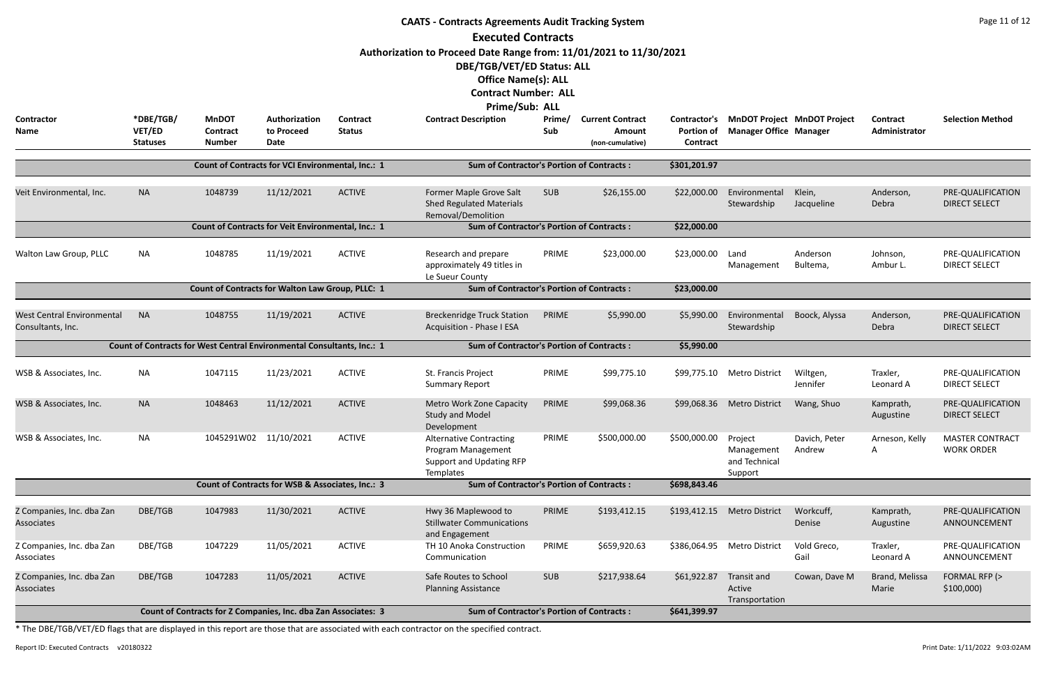|                                                                        |                                        |                                                                |                                                   |                           | <b>CAATS - Contracts Agreements Audit Tracking System</b>                                                                                                                                  |               |                                                       |                                               |                                                   |                                    |                           | Page 11 of 12                               |
|------------------------------------------------------------------------|----------------------------------------|----------------------------------------------------------------|---------------------------------------------------|---------------------------|--------------------------------------------------------------------------------------------------------------------------------------------------------------------------------------------|---------------|-------------------------------------------------------|-----------------------------------------------|---------------------------------------------------|------------------------------------|---------------------------|---------------------------------------------|
|                                                                        |                                        |                                                                |                                                   |                           | <b>Executed Contracts</b><br>Authorization to Proceed Date Range from: 11/01/2021 to 11/30/2021<br>DBE/TGB/VET/ED Status: ALL<br><b>Office Name(s): ALL</b><br><b>Contract Number: ALL</b> |               |                                                       |                                               |                                                   |                                    |                           |                                             |
| Contractor<br>Name                                                     | *DBE/TGB/<br>VET/ED<br><b>Statuses</b> | <b>MnDOT</b><br><b>Contract</b><br><b>Number</b>               | Authorization<br>to Proceed<br>Date               | Contract<br><b>Status</b> | <b>Prime/Sub: ALL</b><br><b>Contract Description</b>                                                                                                                                       | Prime/<br>Sub | <b>Current Contract</b><br>Amount<br>(non-cumulative) | Contractor's<br><b>Portion of</b><br>Contract | <b>Manager Office Manager</b>                     | <b>MnDOT Project MnDOT Project</b> | Contract<br>Administrator | <b>Selection Method</b>                     |
|                                                                        |                                        |                                                                | Count of Contracts for VCI Environmental, Inc.: 1 |                           | <b>Sum of Contractor's Portion of Contracts:</b>                                                                                                                                           |               |                                                       | \$301,201.97                                  |                                                   |                                    |                           |                                             |
| Veit Environmental, Inc.                                               | <b>NA</b>                              | 1048739                                                        | 11/12/2021                                        | <b>ACTIVE</b>             | Former Maple Grove Salt<br><b>Shed Regulated Materials</b><br>Removal/Demolition                                                                                                           | <b>SUB</b>    | \$26,155.00                                           | \$22,000.00                                   | Environmental<br>Stewardship                      | Klein,<br>Jacqueline               | Anderson,<br>Debra        | PRE-QUALIFICATION<br><b>DIRECT SELECT</b>   |
|                                                                        |                                        | Count of Contracts for Veit Environmental, Inc.: 1             |                                                   |                           | <b>Sum of Contractor's Portion of Contracts:</b>                                                                                                                                           |               |                                                       | \$22,000.00                                   |                                                   |                                    |                           |                                             |
| Walton Law Group, PLLC                                                 | <b>NA</b>                              | 1048785                                                        | 11/19/2021                                        | <b>ACTIVE</b>             | Research and prepare<br>approximately 49 titles in<br>Le Sueur County                                                                                                                      | PRIME         | \$23,000.00                                           | \$23,000.00                                   | Land<br>Management                                | Anderson<br>Bultema,               | Johnson,<br>Ambur L.      | PRE-QUALIFICATION<br><b>DIRECT SELECT</b>   |
|                                                                        |                                        | <b>Count of Contracts for Walton Law Group, PLLC: 1</b>        |                                                   |                           | <b>Sum of Contractor's Portion of Contracts:</b>                                                                                                                                           |               |                                                       | \$23,000.00                                   |                                                   |                                    |                           |                                             |
| <b>West Central Environmental</b><br>Consultants, Inc.                 | <b>NA</b>                              | 1048755                                                        | 11/19/2021                                        | <b>ACTIVE</b>             | <b>Breckenridge Truck Station</b><br><b>Acquisition - Phase I ESA</b>                                                                                                                      | PRIME         | \$5,990.00                                            | \$5,990.00                                    | Environmental<br>Stewardship                      | Boock, Alyssa                      | Anderson,<br>Debra        | PRE-QUALIFICATION<br><b>DIRECT SELECT</b>   |
| Count of Contracts for West Central Environmental Consultants, Inc.: 1 |                                        |                                                                |                                                   |                           | <b>Sum of Contractor's Portion of Contracts:</b>                                                                                                                                           |               |                                                       | \$5,990.00                                    |                                                   |                                    |                           |                                             |
| WSB & Associates, Inc.                                                 | <b>NA</b>                              | 1047115                                                        | 11/23/2021                                        | <b>ACTIVE</b>             | St. Francis Project<br><b>Summary Report</b>                                                                                                                                               | PRIME         | \$99,775.10                                           | \$99,775.10                                   | Metro District                                    | Wiltgen,<br>Jennifer               | Traxler,<br>Leonard A     | PRE-QUALIFICATION<br><b>DIRECT SELECT</b>   |
| WSB & Associates, Inc.                                                 | <b>NA</b>                              | 1048463                                                        | 11/12/2021                                        | <b>ACTIVE</b>             | Metro Work Zone Capacity<br><b>Study and Model</b><br>Development                                                                                                                          | PRIME         | \$99,068.36                                           |                                               | \$99,068.36 Metro District                        | Wang, Shuo                         | Kamprath,<br>Augustine    | PRE-QUALIFICATION<br><b>DIRECT SELECT</b>   |
| WSB & Associates, Inc.                                                 | <b>NA</b>                              | 1045291W02 11/10/2021                                          |                                                   | <b>ACTIVE</b>             | <b>Alternative Contracting</b><br>Program Management<br>Support and Updating RFP<br>Templates                                                                                              | PRIME         | \$500,000.00                                          | \$500,000.00                                  | Project<br>Management<br>and Technical<br>Support | Davich, Peter<br>Andrew            | Arneson, Kelly<br>A       | <b>MASTER CONTRACT</b><br><b>WORK ORDER</b> |
|                                                                        |                                        |                                                                | Count of Contracts for WSB & Associates, Inc.: 3  |                           | <b>Sum of Contractor's Portion of Contracts:</b>                                                                                                                                           |               |                                                       | \$698,843.46                                  |                                                   |                                    |                           |                                             |
| Z Companies, Inc. dba Zan<br>Associates                                | DBE/TGB                                | 1047983                                                        | 11/30/2021                                        | <b>ACTIVE</b>             | Hwy 36 Maplewood to<br><b>Stillwater Communications</b><br>and Engagement                                                                                                                  | PRIME         | \$193,412.15                                          | \$193,412.15                                  | <b>Metro District</b>                             | Workcuff,<br>Denise                | Kamprath,<br>Augustine    | PRE-QUALIFICATION<br>ANNOUNCEMENT           |
| Z Companies, Inc. dba Zan<br>Associates                                | DBE/TGB                                | 1047229                                                        | 11/05/2021                                        | <b>ACTIVE</b>             | TH 10 Anoka Construction<br>Communication                                                                                                                                                  | PRIME         | \$659,920.63                                          | \$386,064.95                                  | <b>Metro District</b>                             | Vold Greco,<br>Gail                | Traxler,<br>Leonard A     | PRE-QUALIFICATION<br>ANNOUNCEMENT           |
| Z Companies, Inc. dba Zan<br>Associates                                | DBE/TGB                                | 1047283                                                        | 11/05/2021                                        | <b>ACTIVE</b>             | Safe Routes to School<br><b>Planning Assistance</b>                                                                                                                                        | <b>SUB</b>    | \$217,938.64                                          | \$61,922.87                                   | Transit and<br>Active<br>Transportation           | Cowan, Dave M                      | Brand, Melissa<br>Marie   | FORMAL RFP (><br>$$100,000$ )               |
|                                                                        |                                        | Count of Contracts for Z Companies, Inc. dba Zan Associates: 3 |                                                   |                           | <b>Sum of Contractor's Portion of Contracts:</b>                                                                                                                                           |               |                                                       | \$641,399.97                                  |                                                   |                                    |                           |                                             |